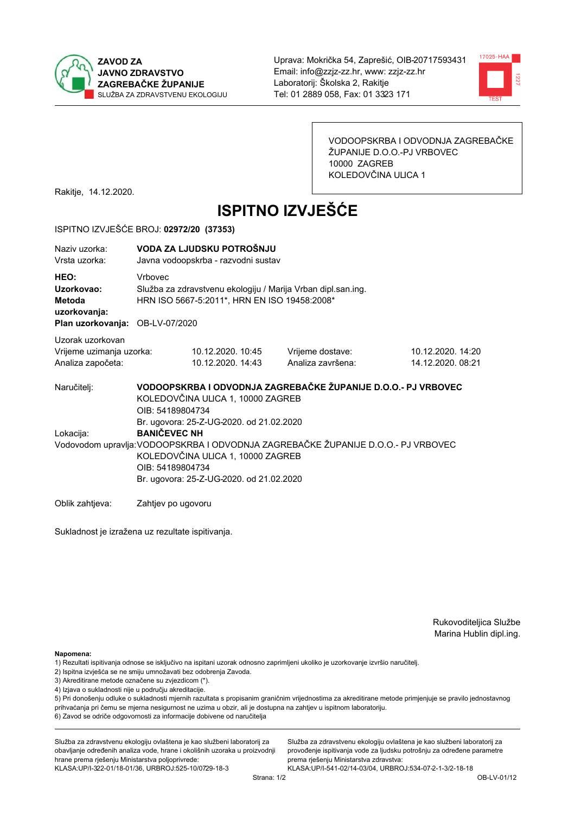



VODOOPSKRBA I ODVODNJA ZAGREBAČKE ŽUPANIJE D.O.O.-PJ VRBOVEC 10000 ZAGREB KOLEDOVČINA ULICA 1

Rakitje, 14.12.2020.

# **ISPITNO IZVJEŠĆE**

#### ISPITNO IZVJEŠĆE BROJ: 02972/20 (37353)

| Naziv uzorka:<br>Vrsta uzorka:                                                  |                                                                                                                                                                                                                                                           | VODA ZA LJUDSKU POTROŠNJU<br>Javna vodoopskrba - razvodni sustav                                             |                                                               |                                        |  |  |
|---------------------------------------------------------------------------------|-----------------------------------------------------------------------------------------------------------------------------------------------------------------------------------------------------------------------------------------------------------|--------------------------------------------------------------------------------------------------------------|---------------------------------------------------------------|----------------------------------------|--|--|
| HEO:<br>Uzorkovao:<br>Metoda<br>uzorkovanja:<br>Plan uzorkovanja: OB-LV-07/2020 | <b>Vrhovec</b>                                                                                                                                                                                                                                            | Služba za zdravstvenu ekologiju / Marija Vrban dipl.san.ing.<br>HRN ISO 5667-5:2011*, HRN EN ISO 19458:2008* |                                                               |                                        |  |  |
| Uzorak uzorkovan<br>Vrijeme uzimanja uzorka:<br>Analiza započeta:               |                                                                                                                                                                                                                                                           | 10.12.2020. 10:45<br>10.12.2020. 14:43                                                                       | Vrijeme dostave:<br>Analiza završena:                         | 10.12.2020. 14:20<br>14.12.2020. 08:21 |  |  |
| Naručitelj:                                                                     | OIB: 54189804734                                                                                                                                                                                                                                          | KOLEDOVČINA ULICA 1, 10000 ZAGREB                                                                            | VODOOPSKRBA I ODVODNJA ZAGREBAČKE ŽUPANIJE D.O.O.- PJ VRBOVEC |                                        |  |  |
| Lokacija:                                                                       | Br. ugovora: 25-Z-UG-2020. od 21.02.2020<br><b>BANIČEVEC NH</b><br>Vodovodom upravlja: VODOOPSKRBA I ODVODNJA ZAGREBAČKE ŽUPANIJE D.O.O.- PJ VRBOVEC<br>KOLEDOVČINA ULICA 1, 10000 ZAGREB<br>OIB: 54189804734<br>Br. ugovora: 25-Z-UG-2020. od 21.02.2020 |                                                                                                              |                                                               |                                        |  |  |
| Oblik zahtjeva:                                                                 | Zahtjev po ugovoru                                                                                                                                                                                                                                        |                                                                                                              |                                                               |                                        |  |  |

Sukladnost je izražena uz rezultate ispitivanja.

Rukovoditeljica Službe Marina Hublin dipl.ing.

Napomena:

- 1) Rezultati ispitivanja odnose se isključivo na ispitani uzorak odnosno zaprimljeni ukoliko je uzorkovanje izvršio naručiteli.
- 2) Ispitna izvješća se ne smiju umnožavati bez odobrenja Zavoda.
- 3) Akreditirane metode označene su zvjezdicom (\*).
- 4) Izjava o sukladnosti nije u području akreditacije.

5) Pri donošenju odluke o sukladnosti mjernih razultata s propisanim graničnim vrijednostima za akreditirane metode primjenjuje se pravilo jednostavnog prihvaćanja pri čemu se mjerna nesigurnost ne uzima u obzir, ali je dostupna na zahtjev u ispitnom laboratoriju.

6) Zavod se odriče odgovornosti za informacije dobivene od naručitelja

Služba za zdravstvenu ekologiju ovlaštena je kao službeni laboratorij za obavljanje određenih analiza vode, hrane i okolišnih uzoraka u proizvodnji hrane prema rješenju Ministarstva poljoprivrede: KLASA: UP/I-322-01/18-01/36, URBROJ: 525-10/0729-18-3

Služba za zdravstvenu ekologiju ovlaštena je kao službeni laboratorij za provođenje ispitivanja vode za ljudsku potrošnju za određene parametre prema riešenju Ministarstva zdravstva: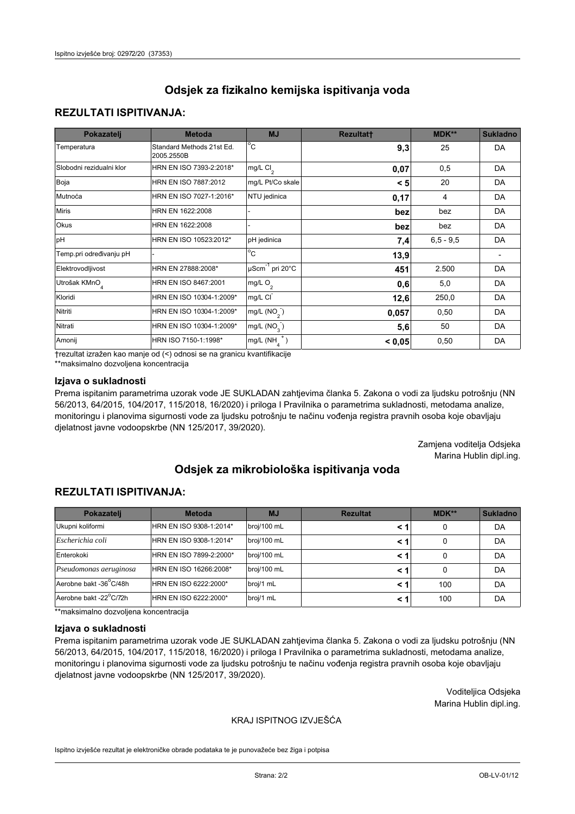## **REZULTATI ISPITIVANJA:**

| Pokazatelj                | <b>Metoda</b>                           | <b>MJ</b>                   | <b>Rezultatt</b> | <b>MDK**</b> | <b>Sukladno</b> |
|---------------------------|-----------------------------------------|-----------------------------|------------------|--------------|-----------------|
| Temperatura               | Standard Methods 21st Ed.<br>2005.2550B | $^{\circ}$ C                | 9,3              | 25           | DA              |
| Slobodni rezidualni klor  | HRN EN ISO 7393-2:2018*                 | mg/L $Cl_2$                 | 0,07             | 0,5          | DA              |
| Boja                      | HRN EN ISO 7887:2012                    | mg/L Pt/Co skale            | < 5              | 20           | DA              |
| Mutnoća                   | HRN EN ISO 7027-1:2016*                 | NTU jedinica                | 0,17             | 4            | DA              |
| <b>Miris</b>              | HRN EN 1622:2008                        |                             | bez              | bez          | DA              |
| Okus                      | HRN EN 1622:2008                        |                             | bez              | bez          | DA              |
| pH                        | HRN EN ISO 10523:2012*                  | pH jedinica                 | 7,4              | $6.5 - 9.5$  | DA              |
| Temp.pri određivanju pH   |                                         | $\overline{c}$              | 13,9             |              |                 |
| Elektrovodljivost         | HRN EN 27888:2008*                      | µScm <sup>-1</sup> pri 20°C | 451              | 2.500        | DA              |
| Utrošak KMnO <sub>4</sub> | HRN EN ISO 8467:2001                    | mg/L O <sub>2</sub>         | 0,6              | 5,0          | DA              |
| Kloridi                   | HRN EN ISO 10304-1:2009*                | mg/L CI                     | 12,6             | 250,0        | DA              |
| Nitriti                   | HRN EN ISO 10304-1:2009*                | mg/L $(NO2)$                | 0,057            | 0,50         | DA              |
| Nitrati                   | HRN EN ISO 10304-1:2009*                | mg/L (NO <sub>3</sub> )     | 5,6              | 50           | DA              |
| Amonij                    | HRN ISO 7150-1:1998*                    | mg/L $(NH_A^+)$             | < 0,05           | 0,50         | DA              |

trezultat izražen kao manje od (<) odnosi se na granicu kvantifikacije

\*\*maksimalno dozvoljena koncentracija

## Izjava o sukladnosti

Prema ispitanim parametrima uzorak vode JE SUKLADAN zahtjevima članka 5. Zakona o vodi za ljudsku potrošnju (NN 56/2013, 64/2015, 104/2017, 115/2018, 16/2020) i priloga I Pravilnika o parametrima sukladnosti, metodama analize, monitoringu i planovima sigurnosti vode za ljudsku potrošnju te načinu vođenja registra pravnih osoba koje obavljaju djelatnost javne vodoopskrbe (NN 125/2017, 39/2020).

> Zamjena voditelja Odsjeka Marina Hublin dipl.ing.

# Odsiek za mikrobiološka ispitivanja voda

## **REZULTATI ISPITIVANJA:**

| Pokazatelj             | <b>Metoda</b>           | <b>MJ</b>   | <b>Rezultat</b> | <b>MDK**</b> | <b>Sukladno</b> |
|------------------------|-------------------------|-------------|-----------------|--------------|-----------------|
| Ukupni koliformi       | HRN EN ISO 9308-1:2014* | broj/100 mL |                 | 0            | DA              |
| Escherichia coli       | HRN EN ISO 9308-1:2014* | broj/100 mL | < 1             | 0            | DA              |
| Enterokoki             | HRN EN ISO 7899-2:2000* | broj/100 mL | <1              | 0            | DA              |
| Pseudomonas aeruginosa | HRN EN ISO 16266:2008*  | broj/100 mL | <1              | 0            | DA              |
| Aerobne bakt -36°C/48h | HRN EN ISO 6222:2000*   | broj/1 mL   | < 1             | 100          | DA              |
| Aerobne bakt -22°C/72h | HRN EN ISO 6222:2000*   | broj/1 mL   | < 1             | 100          | DA              |

\*\*maksimalno dozvoljena koncentracija

#### Izjava o sukladnosti

Prema ispitanim parametrima uzorak vode JE SUKLADAN zahtjevima članka 5. Zakona o vodi za ljudsku potrošnju (NN 56/2013, 64/2015, 104/2017, 115/2018, 16/2020) i priloga I Pravilnika o parametrima sukladnosti, metodama analize, monitoringu i planovima sigurnosti vode za ljudsku potrošnju te načinu vođenja registra pravnih osoba koje obavljaju djelatnost javne vodoopskrbe (NN 125/2017, 39/2020).

> Voditeljica Odsjeka Marina Hublin dipl.ing.

## KRAJ ISPITNOG IZVJEŠĆA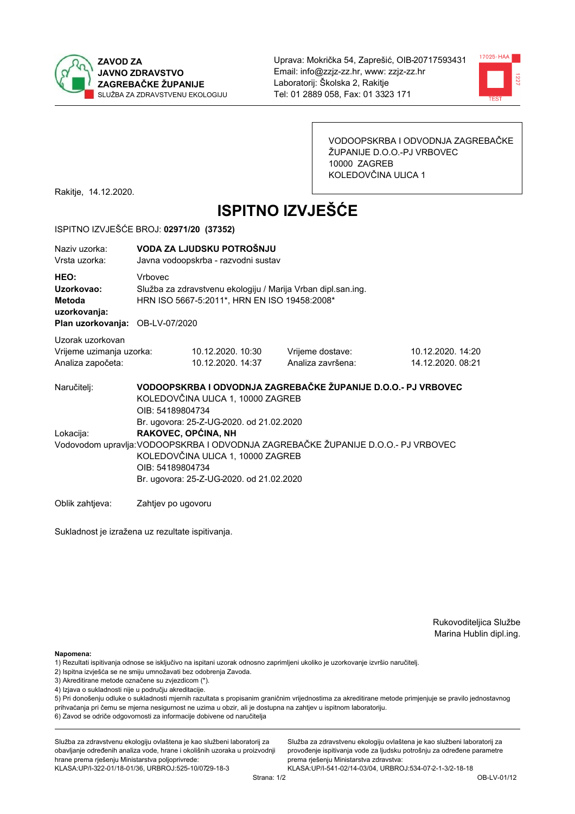



VODOOPSKRBA I ODVODNJA ZAGREBAČKE ŽUPANIJE D.O.O.-PJ VRBOVEC 10000 ZAGREB KOLEDOVČINA ULICA 1

Rakitje, 14.12.2020.

# **ISPITNO IZVJEŠĆE**

#### ISPITNO IZVJEŠĆE BROJ: 02971/20 (37352)

| Naziv uzorka:<br>Vrsta uzorka:                                                  |                                                                                                                                                                                                                                                           | VODA ZA LJUDSKU POTROŠNJU<br>Javna vodoopskrba - razvodni sustav                                             |                                                               |                                        |  |  |
|---------------------------------------------------------------------------------|-----------------------------------------------------------------------------------------------------------------------------------------------------------------------------------------------------------------------------------------------------------|--------------------------------------------------------------------------------------------------------------|---------------------------------------------------------------|----------------------------------------|--|--|
| HEO:<br>Uzorkovao:<br>Metoda<br>uzorkovanja:<br>Plan uzorkovanja: OB-LV-07/2020 | <b>Vrhovec</b>                                                                                                                                                                                                                                            | Služba za zdravstvenu ekologiju / Marija Vrban dipl.san.ing.<br>HRN ISO 5667-5:2011*, HRN EN ISO 19458:2008* |                                                               |                                        |  |  |
| Uzorak uzorkovan<br>Vrijeme uzimanja uzorka:<br>Analiza započeta:               |                                                                                                                                                                                                                                                           | 10.12.2020. 10:30<br>10.12.2020. 14:37                                                                       | Vrijeme dostave:<br>Analiza završena:                         | 10.12.2020. 14:20<br>14.12.2020. 08:21 |  |  |
| Naručitelj:                                                                     | OIB: 54189804734                                                                                                                                                                                                                                          | KOLEDOVČINA ULICA 1, 10000 ZAGREB                                                                            | VODOOPSKRBA I ODVODNJA ZAGREBAČKE ŽUPANIJE D.O.O.- PJ VRBOVEC |                                        |  |  |
| Lokacija:                                                                       | Br. ugovora: 25-Z-UG-2020. od 21.02.2020<br>RAKOVEC, OPĆINA, NH<br>Vodovodom upravlja: VODOOPSKRBA I ODVODNJA ZAGREBAČKE ŽUPANIJE D.O.O.- PJ VRBOVEC<br>KOLEDOVČINA ULICA 1, 10000 ZAGREB<br>OIB: 54189804734<br>Br. ugovora: 25-Z-UG-2020. od 21.02.2020 |                                                                                                              |                                                               |                                        |  |  |
| Oblik zahtjeva:                                                                 | Zahtjev po ugovoru                                                                                                                                                                                                                                        |                                                                                                              |                                                               |                                        |  |  |

Sukladnost je izražena uz rezultate ispitivanja.

Rukovoditeljica Službe Marina Hublin dipl.ing.

Napomena:

- 1) Rezultati ispitivanja odnose se isključivo na ispitani uzorak odnosno zaprimljeni ukoliko je uzorkovanje izvršio naručiteli.
- 2) Ispitna izvješća se ne smiju umnožavati bez odobrenja Zavoda.
- 3) Akreditirane metode označene su zvjezdicom (\*).
- 4) Izjava o sukladnosti nije u području akreditacije.

5) Pri donošenju odluke o sukladnosti mjernih razultata s propisanim graničnim vrijednostima za akreditirane metode primjenjuje se pravilo jednostavnog prihvaćanja pri čemu se mjerna nesigurnost ne uzima u obzir, ali je dostupna na zahtjev u ispitnom laboratoriju.

6) Zavod se odriče odgovornosti za informacije dobivene od naručitelja

Služba za zdravstvenu ekologiju ovlaštena je kao službeni laboratorij za obavljanje određenih analiza vode, hrane i okolišnih uzoraka u proizvodnji hrane prema rješenju Ministarstva poljoprivrede: KLASA: UP/I-322-01/18-01/36, URBROJ: 525-10/0729-18-3

Služba za zdravstvenu ekologiju ovlaštena je kao službeni laboratorij za provođenje ispitivanja vode za ljudsku potrošnju za određene parametre prema riešenju Ministarstva zdravstva: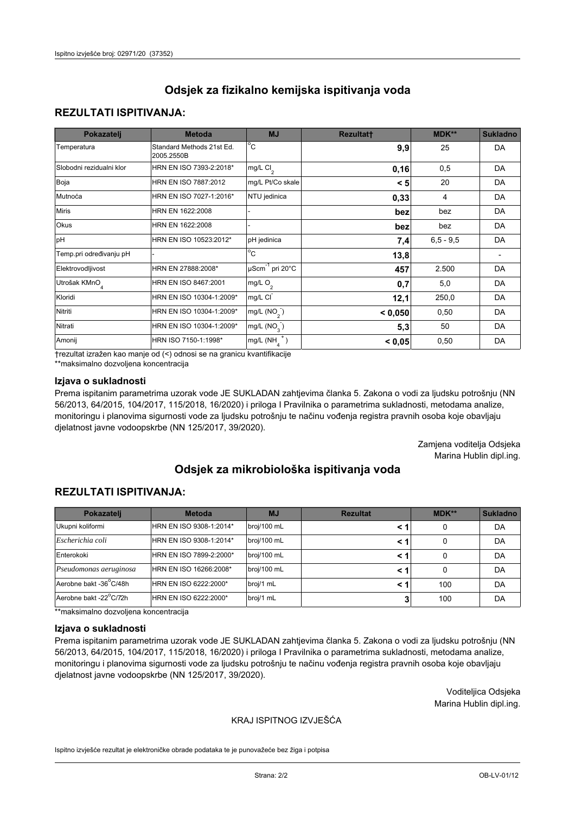# **REZULTATI ISPITIVANJA:**

| Pokazatelj                | <b>Metoda</b>                           | <b>MJ</b>                   | <b>Rezultatt</b> | <b>MDK**</b> | <b>Sukladno</b> |
|---------------------------|-----------------------------------------|-----------------------------|------------------|--------------|-----------------|
| Temperatura               | Standard Methods 21st Ed.<br>2005.2550B | $^{\circ}$ C                | 9,9              | 25           | DA              |
| Slobodni rezidualni klor  | HRN EN ISO 7393-2:2018*                 | mg/L $Cl_2$                 | 0,16             | 0,5          | DA              |
| Boja                      | HRN EN ISO 7887:2012                    | mg/L Pt/Co skale            | < 5              | 20           | DA              |
| Mutnoća                   | HRN EN ISO 7027-1:2016*                 | NTU jedinica                | 0,33             | 4            | DA              |
| <b>Miris</b>              | HRN EN 1622:2008                        |                             | bez              | bez          | DA              |
| Okus                      | HRN EN 1622:2008                        |                             | bez              | bez          | DA              |
| pH                        | HRN EN ISO 10523:2012*                  | pH jedinica                 | 7,4              | $6.5 - 9.5$  | DA              |
| Temp.pri određivanju pH   |                                         | $\overline{c}$              | 13,8             |              |                 |
| Elektrovodljivost         | HRN EN 27888:2008*                      | µScm <sup>-1</sup> pri 20°C | 457              | 2.500        | DA              |
| Utrošak KMnO <sub>4</sub> | HRN EN ISO 8467:2001                    | mg/L O <sub>2</sub>         | 0,7              | 5,0          | DA              |
| Kloridi                   | HRN EN ISO 10304-1:2009*                | mg/L CI                     | 12,1             | 250,0        | DA              |
| Nitriti                   | HRN EN ISO 10304-1:2009*                | mg/L $(NO2)$                | < 0,050          | 0,50         | DA              |
| Nitrati                   | HRN EN ISO 10304-1:2009*                | mg/L (NO <sub>3</sub> )     | 5,3              | 50           | DA              |
| Amonij                    | HRN ISO 7150-1:1998*                    | mg/L $(NH_A^+)$             | < 0,05           | 0,50         | DA              |

trezultat izražen kao manje od (<) odnosi se na granicu kvantifikacije

\*\*maksimalno dozvoljena koncentracija

## Izjava o sukladnosti

Prema ispitanim parametrima uzorak vode JE SUKLADAN zahtjevima članka 5. Zakona o vodi za ljudsku potrošnju (NN 56/2013, 64/2015, 104/2017, 115/2018, 16/2020) i priloga I Pravilnika o parametrima sukladnosti, metodama analize, monitoringu i planovima sigurnosti vode za ljudsku potrošnju te načinu vođenja registra pravnih osoba koje obavljaju djelatnost javne vodoopskrbe (NN 125/2017, 39/2020).

> Zamjena voditelja Odsjeka Marina Hublin dipl.ing.

# Odsiek za mikrobiološka ispitivanja voda

# **REZULTATI ISPITIVANJA:**

| Pokazatelj             | <b>Metoda</b>           | <b>MJ</b>   | <b>Rezultat</b> | MDK** | <b>Sukladno</b> |
|------------------------|-------------------------|-------------|-----------------|-------|-----------------|
| Ukupni koliformi       | HRN EN ISO 9308-1:2014* | broj/100 mL |                 | 0     | DA              |
| Escherichia coli       | HRN EN ISO 9308-1:2014* | broj/100 mL | < 1             | 0     | DA              |
| Enterokoki             | HRN EN ISO 7899-2:2000* | broj/100 mL | < 1             | 0     | DA              |
| Pseudomonas aeruginosa | HRN EN ISO 16266:2008*  | broj/100 mL | < 1             | 0     | DA              |
| Aerobne bakt -36°C/48h | HRN EN ISO 6222:2000*   | broj/1 mL   | < 1             | 100   | DA              |
| Aerobne bakt -22°C/72h | HRN EN ISO 6222:2000*   | broj/1 mL   | J.              | 100   | DA              |

\*\*maksimalno dozvoljena koncentracija

#### Izjava o sukladnosti

Prema ispitanim parametrima uzorak vode JE SUKLADAN zahtjevima članka 5. Zakona o vodi za ljudsku potrošnju (NN 56/2013, 64/2015, 104/2017, 115/2018, 16/2020) i priloga I Pravilnika o parametrima sukladnosti, metodama analize, monitoringu i planovima sigurnosti vode za ljudsku potrošnju te načinu vođenja registra pravnih osoba koje obavljaju djelatnost javne vodoopskrbe (NN 125/2017, 39/2020).

> Voditeljica Odsjeka Marina Hublin dipl.ing.

## KRAJ ISPITNOG IZVJEŠĆA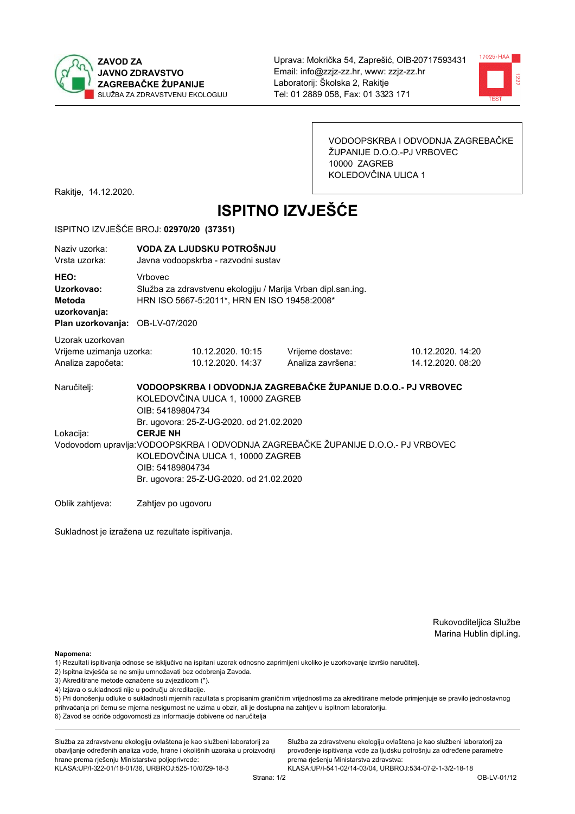



VODOOPSKRBA I ODVODNJA ZAGREBAČKE ŽUPANIJE D.O.O.-PJ VRBOVEC 10000 ZAGREB KOLEDOVČINA ULICA 1

Rakitje, 14.12.2020.

# **ISPITNO IZVJEŠĆE**

#### ISPITNO IZVJEŠĆE BROJ: 02970/20 (37351)

| Naziv uzorka:<br>Vrsta uzorka:                                                  |                                                                                                                                                                                                           | VODA ZA LJUDSKU POTROŠNJU<br>Javna vodoopskrba - razvodni sustav                                                                                                   |                                       |                                       |  |  |  |
|---------------------------------------------------------------------------------|-----------------------------------------------------------------------------------------------------------------------------------------------------------------------------------------------------------|--------------------------------------------------------------------------------------------------------------------------------------------------------------------|---------------------------------------|---------------------------------------|--|--|--|
| HEO:<br>Uzorkovao:<br>Metoda<br>uzorkovanja:<br>Plan uzorkovanja: OB-LV-07/2020 | <b>Vrhovec</b>                                                                                                                                                                                            | Služba za zdravstvenu ekologiju / Marija Vrban dipl.san.ing.<br>HRN ISO 5667-5:2011*, HRN EN ISO 19458:2008*                                                       |                                       |                                       |  |  |  |
| Uzorak uzorkovan<br>Vrijeme uzimanja uzorka:<br>Analiza započeta:               |                                                                                                                                                                                                           | 10.12.2020. 10:15<br>10.12.2020. 14:37                                                                                                                             | Vrijeme dostave:<br>Analiza završena: | 10.12.2020.14:20<br>14.12.2020. 08:20 |  |  |  |
| Naručitelj:                                                                     |                                                                                                                                                                                                           | VODOOPSKRBA I ODVODNJA ZAGREBAČKE ŽUPANIJE D.O.O.- PJ VRBOVEC<br>KOLEDOVČINA ULICA 1, 10000 ZAGREB<br>OIB: 54189804734<br>Br. ugovora: 25-Z-UG-2020. od 21.02.2020 |                                       |                                       |  |  |  |
| Lokacija:                                                                       | <b>CERJE NH</b><br>Vodovodom upravlja: VODOOPSKRBA I ODVODNJA ZAGREBAČKE ŽUPANIJE D.O.O.- PJ VRBOVEC<br>KOLEDOVČINA ULICA 1, 10000 ZAGREB<br>OIB: 54189804734<br>Br. ugovora: 25-Z-UG-2020. od 21.02.2020 |                                                                                                                                                                    |                                       |                                       |  |  |  |
| Oblik zahtjeva:                                                                 | Zahtjev po ugovoru                                                                                                                                                                                        |                                                                                                                                                                    |                                       |                                       |  |  |  |

Sukladnost je izražena uz rezultate ispitivanja.

Rukovoditeljica Službe Marina Hublin dipl.ing.

Napomena:

- 1) Rezultati ispitivanja odnose se isključivo na ispitani uzorak odnosno zaprimljeni ukoliko je uzorkovanje izvršio naručiteli.
- 2) Ispitna izvješća se ne smiju umnožavati bez odobrenja Zavoda.
- 3) Akreditirane metode označene su zvjezdicom (\*).
- 4) Izjava o sukladnosti nije u području akreditacije.

5) Pri donošenju odluke o sukladnosti mjernih razultata s propisanim graničnim vrijednostima za akreditirane metode primjenjuje se pravilo jednostavnog prihvaćanja pri čemu se mjerna nesigurnost ne uzima u obzir, ali je dostupna na zahtjev u ispitnom laboratoriju.

6) Zavod se odriče odgovornosti za informacije dobivene od naručitelja

Služba za zdravstvenu ekologiju ovlaštena je kao službeni laboratorij za obavljanje određenih analiza vode, hrane i okolišnih uzoraka u proizvodnji hrane prema rješenju Ministarstva poljoprivrede: KLASA: UP/I-322-01/18-01/36, URBROJ: 525-10/0729-18-3

Služba za zdravstvenu ekologiju ovlaštena je kao službeni laboratorij za provođenje ispitivanja vode za ljudsku potrošnju za određene parametre prema riešenju Ministarstva zdravstva: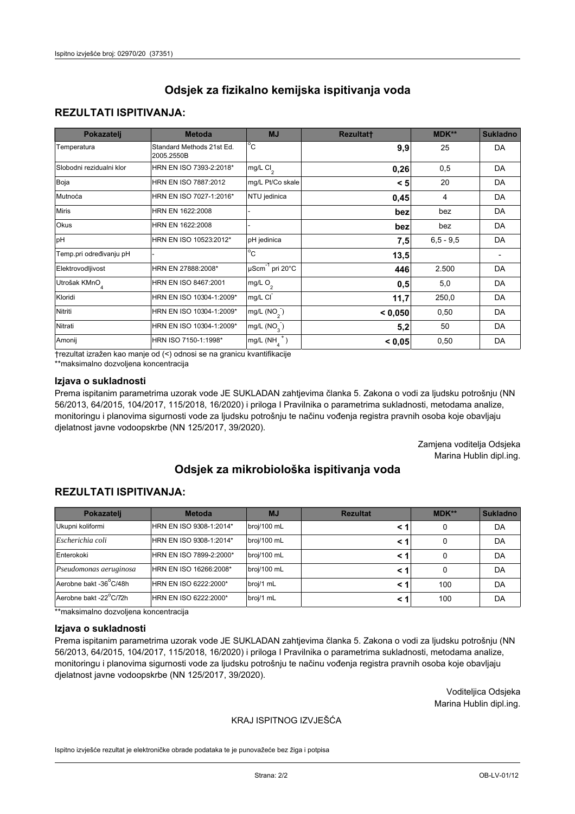# **REZULTATI ISPITIVANJA:**

| Pokazatelj                | <b>Metoda</b>                           | <b>MJ</b>                   | <b>Rezultatt</b> | <b>MDK**</b> | <b>Sukladno</b> |
|---------------------------|-----------------------------------------|-----------------------------|------------------|--------------|-----------------|
| Temperatura               | Standard Methods 21st Ed.<br>2005.2550B | $^{\circ}$ C                | 9,9              | 25           | DA              |
| Slobodni rezidualni klor  | HRN EN ISO 7393-2:2018*                 | mg/L $Cl_2$                 | 0,26             | 0,5          | DA              |
| Boja                      | HRN EN ISO 7887:2012                    | mg/L Pt/Co skale            | < 5              | 20           | DA              |
| Mutnoća                   | HRN EN ISO 7027-1:2016*                 | NTU jedinica                | 0,45             | 4            | DA              |
| <b>Miris</b>              | HRN EN 1622:2008                        |                             | bez              | bez          | DA              |
| Okus                      | HRN EN 1622:2008                        |                             | bez              | bez          | DA              |
| pH                        | HRN EN ISO 10523:2012*                  | pH jedinica                 | 7,5              | $6.5 - 9.5$  | DA              |
| Temp.pri određivanju pH   |                                         | $\overline{c}$              | 13,5             |              |                 |
| Elektrovodljivost         | HRN EN 27888:2008*                      | µScm <sup>-1</sup> pri 20°C | 446              | 2.500        | DA              |
| Utrošak KMnO <sub>4</sub> | HRN EN ISO 8467:2001                    | mg/L O <sub>2</sub>         | 0,5              | 5,0          | DA              |
| Kloridi                   | HRN EN ISO 10304-1:2009*                | mg/L CI                     | 11,7             | 250,0        | DA              |
| Nitriti                   | HRN EN ISO 10304-1:2009*                | mg/L (NO <sub>2</sub> )     | < 0,050          | 0,50         | DA              |
| Nitrati                   | HRN EN ISO 10304-1:2009*                | mg/L (NO <sub>3</sub> )     | 5,2              | 50           | DA              |
| Amonij                    | HRN ISO 7150-1:1998*                    | mg/L $(NH_A^+)$             | < 0,05           | 0,50         | DA              |

trezultat izražen kao manje od (<) odnosi se na granicu kvantifikacije

\*\*maksimalno dozvoljena koncentracija

## Izjava o sukladnosti

Prema ispitanim parametrima uzorak vode JE SUKLADAN zahtjevima članka 5. Zakona o vodi za ljudsku potrošnju (NN 56/2013, 64/2015, 104/2017, 115/2018, 16/2020) i priloga I Pravilnika o parametrima sukladnosti, metodama analize, monitoringu i planovima sigurnosti vode za ljudsku potrošnju te načinu vođenja registra pravnih osoba koje obavljaju djelatnost javne vodoopskrbe (NN 125/2017, 39/2020).

> Zamjena voditelja Odsjeka Marina Hublin dipl.ing.

# Odsiek za mikrobiološka ispitivanja voda

# **REZULTATI ISPITIVANJA:**

| Pokazatelj             | <b>Metoda</b>           | <b>MJ</b>   | <b>Rezultat</b> | <b>MDK**</b> | <b>Sukladno</b> |
|------------------------|-------------------------|-------------|-----------------|--------------|-----------------|
| Ukupni koliformi       | HRN EN ISO 9308-1:2014* | broj/100 mL |                 | 0            | DA              |
| Escherichia coli       | HRN EN ISO 9308-1:2014* | broj/100 mL | < 1             | 0            | DA              |
| Enterokoki             | HRN EN ISO 7899-2:2000* | broj/100 mL | <1              | 0            | DA              |
| Pseudomonas aeruginosa | HRN EN ISO 16266:2008*  | broj/100 mL | <1              | 0            | DA              |
| Aerobne bakt -36°C/48h | HRN EN ISO 6222:2000*   | broj/1 mL   | < 1             | 100          | DA              |
| Aerobne bakt -22°C/72h | HRN EN ISO 6222:2000*   | broj/1 mL   | < 1             | 100          | DA              |

\*\*maksimalno dozvoljena koncentracija

#### Izjava o sukladnosti

Prema ispitanim parametrima uzorak vode JE SUKLADAN zahtjevima članka 5. Zakona o vodi za ljudsku potrošnju (NN 56/2013, 64/2015, 104/2017, 115/2018, 16/2020) i priloga I Pravilnika o parametrima sukladnosti, metodama analize, monitoringu i planovima sigurnosti vode za ljudsku potrošnju te načinu vođenja registra pravnih osoba koje obavljaju djelatnost javne vodoopskrbe (NN 125/2017, 39/2020).

> Voditeljica Odsjeka Marina Hublin dipl.ing.

## KRAJ ISPITNOG IZVJEŠĆA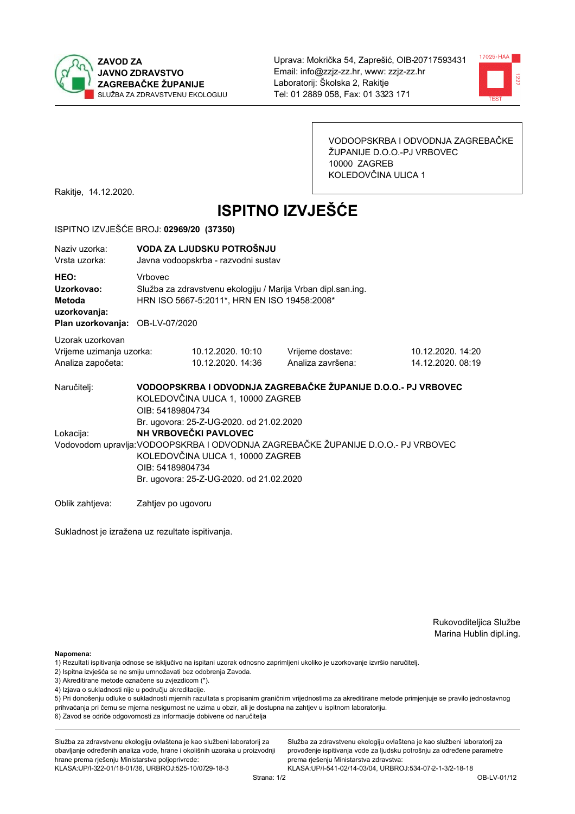



VODOOPSKRBA I ODVODNJA ZAGREBAČKE ŽUPANIJE D.O.O.-PJ VRBOVEC 10000 ZAGREB KOLEDOVČINA ULICA 1

Rakitje, 14.12.2020.

# **ISPITNO IZVJEŠĆE**

#### ISPITNO IZVJEŠĆE BROJ: 02969/20 (37350)

| Naziy uzorka:<br>Vrsta uzorka:                                                  |                    | VODA ZA LJUDSKU POTROŠNJU<br>Javna vodoopskrba - razvodni sustav                                                                                                                                                                                            |                                                               |                                        |  |  |  |
|---------------------------------------------------------------------------------|--------------------|-------------------------------------------------------------------------------------------------------------------------------------------------------------------------------------------------------------------------------------------------------------|---------------------------------------------------------------|----------------------------------------|--|--|--|
| HEO:<br>Uzorkovao:<br>Metoda<br>uzorkovanja:<br>Plan uzorkovanja: OB-LV-07/2020 | <b>Vrhovec</b>     | Služba za zdravstvenu ekologiju / Marija Vrban dipl.san.ing.<br>HRN ISO 5667-5:2011*, HRN EN ISO 19458:2008*                                                                                                                                                |                                                               |                                        |  |  |  |
| Uzorak uzorkovan<br>Vrijeme uzimanja uzorka:<br>Analiza započeta:               |                    | 10.12.2020. 10:10<br>10.12.2020. 14:36                                                                                                                                                                                                                      | Vrijeme dostave:<br>Analiza završena:                         | 10.12.2020. 14:20<br>14.12.2020. 08:19 |  |  |  |
| Naručiteli:                                                                     | OIB: 54189804734   | KOLEDOVČINA ULICA 1, 10000 ZAGREB                                                                                                                                                                                                                           | VODOOPSKRBA I ODVODNJA ZAGREBAČKE ŽUPANIJE D.O.O.- PJ VRBOVEC |                                        |  |  |  |
| Lokacija:                                                                       |                    | Br. ugovora: 25-Z-UG-2020. od 21.02.2020<br>NH VRBOVEČKI PAVLOVEC<br>Vodovodom upravlja: VODOOPSKRBA I ODVODNJA ZAGREBAČKE ŽUPANIJE D.O.O.- PJ VRBOVEC<br>KOLEDOVČINA ULICA 1, 10000 ZAGREB<br>OIB: 54189804734<br>Br. ugovora: 25-Z-UG-2020. od 21.02.2020 |                                                               |                                        |  |  |  |
| Oblik zahtieva:                                                                 | Zahtjev po ugovoru |                                                                                                                                                                                                                                                             |                                                               |                                        |  |  |  |

Sukladnost je izražena uz rezultate ispitivanja.

Rukovoditeljica Službe Marina Hublin dipl.ing.

Napomena:

- 1) Rezultati ispitivanja odnose se isključivo na ispitani uzorak odnosno zaprimljeni ukoliko je uzorkovanje izvršio naručiteli.
- 2) Ispitna izvješća se ne smiju umnožavati bez odobrenja Zavoda.
- 3) Akreditirane metode označene su zvjezdicom (\*).
- 4) Izjava o sukladnosti nije u području akreditacije.

5) Pri donošenju odluke o sukladnosti mjernih razultata s propisanim graničnim vrijednostima za akreditirane metode primjenjuje se pravilo jednostavnog prihvaćanja pri čemu se mjerna nesigurnost ne uzima u obzir, ali je dostupna na zahtjev u ispitnom laboratoriju.

6) Zavod se odriče odgovornosti za informacije dobivene od naručitelja

Služba za zdravstvenu ekologiju ovlaštena je kao službeni laboratorij za obavljanje određenih analiza vode, hrane i okolišnih uzoraka u proizvodnji hrane prema rješenju Ministarstva poljoprivrede: KLASA.UP/I-322-01/18-01/36, URBROJ.525-10/0729-18-3

Služba za zdravstvenu ekologiju ovlaštena je kao službeni laboratorij za provođenje ispitivanja vode za ljudsku potrošnju za određene parametre prema riešenju Ministarstva zdravstva: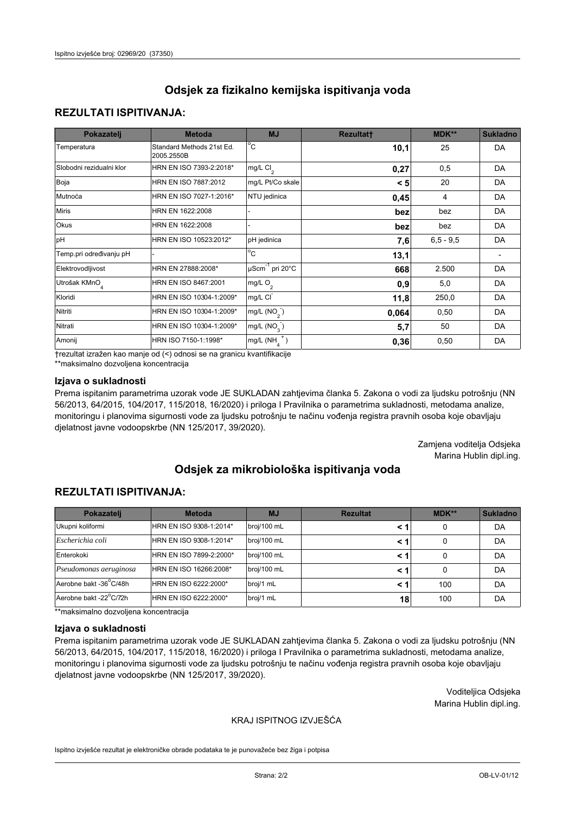# **REZULTATI ISPITIVANJA:**

| Pokazatelj                | <b>Metoda</b>                           | <b>MJ</b>                   | <b>Rezultatt</b> | <b>MDK**</b> | <b>Sukladno</b> |
|---------------------------|-----------------------------------------|-----------------------------|------------------|--------------|-----------------|
| Temperatura               | Standard Methods 21st Ed.<br>2005.2550B | $^{\circ}$ C                | 10,1             | 25           | DA              |
| Slobodni rezidualni klor  | HRN EN ISO 7393-2:2018*                 | $mg/L$ Cl <sub>2</sub>      | 0,27             | 0,5          | <b>DA</b>       |
| Boja                      | HRN EN ISO 7887:2012                    | mg/L Pt/Co skale            | < 5              | 20           | DA              |
| Mutnoća                   | HRN EN ISO 7027-1:2016*                 | NTU jedinica                | 0,45             | 4            | DA              |
| <b>Miris</b>              | HRN EN 1622:2008                        |                             | bez              | bez          | DA              |
| Okus                      | HRN EN 1622:2008                        |                             | bez              | bez          | DA              |
| pH                        | HRN EN ISO 10523:2012*                  | pH jedinica                 | 7,6              | $6,5 - 9,5$  | <b>DA</b>       |
| Temp.pri određivanju pH   |                                         | $\overline{c}$              | 13,1             |              |                 |
| Elektrovodljivost         | HRN EN 27888:2008*                      | µScm <sup>-1</sup> pri 20°C | 668              | 2.500        | DA              |
| Utrošak KMnO <sub>4</sub> | HRN EN ISO 8467:2001                    | mg/L O <sub>2</sub>         | 0,9              | 5,0          | <b>DA</b>       |
| Kloridi                   | HRN EN ISO 10304-1:2009*                | mg/L CI                     | 11,8             | 250,0        | DA              |
| Nitriti                   | HRN EN ISO 10304-1:2009*                | mg/L $(NO2)$                | 0,064            | 0,50         | DA              |
| Nitrati                   | HRN EN ISO 10304-1:2009*                | mg/L $(NO_{3})$             | 5,7              | 50           | DA              |
| Amonij                    | HRN ISO 7150-1:1998*                    | mg/L $(NH_A^+)$             | 0,36             | 0,50         | DA              |

trezultat izražen kao manje od (<) odnosi se na granicu kvantifikacije

\*\*maksimalno dozvoljena koncentracija

## Izjava o sukladnosti

Prema ispitanim parametrima uzorak vode JE SUKLADAN zahtjevima članka 5. Zakona o vodi za ljudsku potrošnju (NN 56/2013, 64/2015, 104/2017, 115/2018, 16/2020) i priloga I Pravilnika o parametrima sukladnosti, metodama analize, monitoringu i planovima sigurnosti vode za ljudsku potrošnju te načinu vođenja registra pravnih osoba koje obavljaju djelatnost javne vodoopskrbe (NN 125/2017, 39/2020).

> Zamjena voditelja Odsjeka Marina Hublin dipl.ing.

# Odsiek za mikrobiološka ispitivanja voda

# **REZULTATI ISPITIVANJA:**

| Pokazatelj             | <b>Metoda</b><br><b>MJ</b> |             | <b>Rezultat</b> | $MDK**$ | <b>Sukladno</b> |
|------------------------|----------------------------|-------------|-----------------|---------|-----------------|
| Ukupni koliformi       | HRN EN ISO 9308-1:2014*    | broj/100 mL | < 1             | 0       | DA              |
| Escherichia coli       | HRN EN ISO 9308-1:2014*    | broj/100 mL | < 1             | 0       | DA              |
| Enterokoki             | HRN EN ISO 7899-2:2000*    | broj/100 mL | < 1             |         | DA              |
| Pseudomonas aeruginosa | HRN EN ISO 16266:2008*     | broj/100 mL | < 1             | 0       | DA              |
| Aerobne bakt -36°C/48h | HRN EN ISO 6222:2000*      | broj/1 mL   | < 1             | 100     | DA              |
| Aerobne bakt -22°C/72h | HRN EN ISO 6222:2000*      | broj/1 mL   | 18              | 100     | DA              |

\*\*maksimalno dozvoljena koncentracija

#### Izjava o sukladnosti

Prema ispitanim parametrima uzorak vode JE SUKLADAN zahtjevima članka 5. Zakona o vodi za ljudsku potrošnju (NN 56/2013, 64/2015, 104/2017, 115/2018, 16/2020) i priloga I Pravilnika o parametrima sukladnosti, metodama analize, monitoringu i planovima sigurnosti vode za ljudsku potrošnju te načinu vođenja registra pravnih osoba koje obavljaju djelatnost javne vodoopskrbe (NN 125/2017, 39/2020).

> Voditeljica Odsjeka Marina Hublin dipl.ing.

## KRAJ ISPITNOG IZVJEŠĆA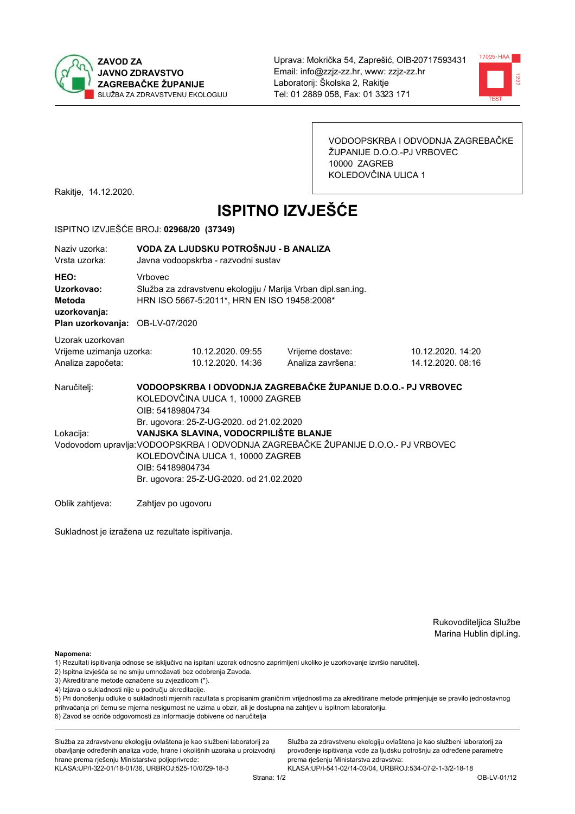



VODOOPSKRBA I ODVODNJA ZAGREBAČKE ŽUPANIJE D.O.O.-PJ VRBOVEC 10000 ZAGREB KOLEDOVČINA ULICA 1

Rakitje, 14.12.2020.

# **ISPITNO IZVJEŠĆE**

#### ISPITNO IZVJEŠĆE BROJ: 02968/20 (37349)

| Naziy uzorka:<br>Vrsta uzorka:                                                  | VODA ZA LJUDSKU POTROŠNJU - B ANALIZA<br>Javna vodoopskrba - razvodni sustav |                                                                                                                        |                                                                                   |                                       |  |  |
|---------------------------------------------------------------------------------|------------------------------------------------------------------------------|------------------------------------------------------------------------------------------------------------------------|-----------------------------------------------------------------------------------|---------------------------------------|--|--|
| HEO:<br>Uzorkovao:<br>Metoda<br>uzorkovanja:<br>Plan uzorkovanja: OB-LV-07/2020 | <b>Vrhovec</b>                                                               | Služba za zdravstvenu ekologiju / Marija Vrban dipl.san.ing.<br>HRN ISO 5667-5:2011*, HRN EN ISO 19458:2008*           |                                                                                   |                                       |  |  |
| Uzorak uzorkovan<br>Vrijeme uzimanja uzorka:<br>Analiza započeta:               |                                                                              | 10.12.2020.09:55<br>10.12.2020. 14:36                                                                                  | Vrijeme dostave:<br>Analiza završena:                                             | 10.12.2020. 14:20<br>14.12.2020.08:16 |  |  |
| Naručitelj:                                                                     | OIB: 54189804734                                                             | KOLEDOVČINA ULICA 1, 10000 ZAGREB<br>Br. ugovora: 25-Z-UG-2020. od 21.02.2020                                          | VODOOPSKRBA I ODVODNJA ZAGREBAČKE ŽUPANIJE D.O.O.- PJ VRBOVEC                     |                                       |  |  |
| Lokacija:                                                                       | OIB: 54189804734                                                             | VANJSKA SLAVINA, VODOCRPILIŠTE BLANJE<br>KOLEDOVČINA ULICA 1, 10000 ZAGREB<br>Br. ugovora: 25-Z-UG-2020. od 21.02.2020 | Vodovodom upravlja: VODOOPSKRBA I ODVODNJA ZAGREBAČKE ŽUPANIJE D.O.O.- PJ VRBOVEC |                                       |  |  |
| Oblik zahtieva:                                                                 | Zahtjev po ugovoru                                                           |                                                                                                                        |                                                                                   |                                       |  |  |

Sukladnost je izražena uz rezultate ispitivanja.

Rukovoditeljica Službe Marina Hublin dipl.ing.

Napomena:

- 1) Rezultati ispitivanja odnose se isključivo na ispitani uzorak odnosno zaprimljeni ukoliko je uzorkovanje izvršio naručiteli.
- 2) Ispitna izvješća se ne smiju umnožavati bez odobrenja Zavoda.
- 3) Akreditirane metode označene su zvjezdicom (\*).
- 4) Izjava o sukladnosti nije u području akreditacije.

5) Pri donošenju odluke o sukladnosti mjernih razultata s propisanim graničnim vrijednostima za akreditirane metode primjenjuje se pravilo jednostavnog prihvaćanja pri čemu se mjerna nesigurnost ne uzima u obzir, ali je dostupna na zahtjev u ispitnom laboratoriju.

6) Zavod se odriče odgovornosti za informacije dobivene od naručitelja

Služba za zdravstvenu ekologiju ovlaštena je kao službeni laboratorij za obavljanje određenih analiza vode, hrane i okolišnih uzoraka u proizvodnji hrane prema rješenju Ministarstva poljoprivrede: KLASA: UP/I-322-01/18-01/36, URBROJ: 525-10/0729-18-3

Služba za zdravstvenu ekologiju ovlaštena je kao službeni laboratorij za provođenje ispitivanja vode za ljudsku potrošnju za određene parametre prema riešenju Ministarstva zdravstva: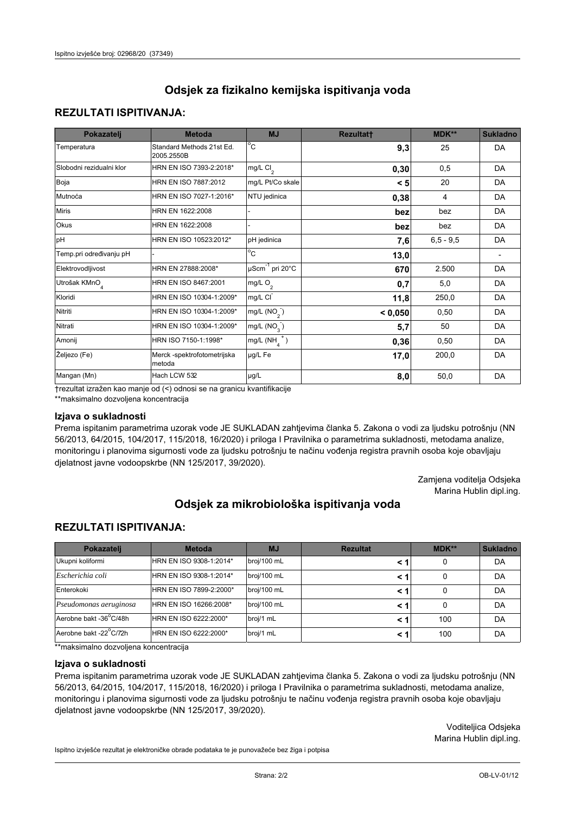# **REZULTATI ISPITIVANJA:**

| Pokazatelj               | <b>Metoda</b>                           | <b>MJ</b>                                | <b>Rezultatt</b> | MDK**         | <b>Sukladno</b> |
|--------------------------|-----------------------------------------|------------------------------------------|------------------|---------------|-----------------|
| Temperatura              | Standard Methods 21st Ed.<br>2005.2550B | $^{\circ}$ C                             | 9,3              | 25            | DA              |
| Slobodni rezidualni klor | HRN EN ISO 7393-2:2018*                 | mg/L $Cl2$                               | 0, 30            | 0,5           | DA              |
| Boja                     | HRN EN ISO 7887:2012                    | mg/L Pt/Co skale                         | < 5              | 20            | DA              |
| Mutnoća                  | HRN EN ISO 7027-1:2016*                 | NTU jedinica                             | 0,38             | 4             | DA              |
| <b>Miris</b>             | HRN EN 1622:2008                        |                                          | bez              | bez           | DA              |
| Okus                     | HRN EN 1622:2008                        |                                          | bez              | bez           | DA              |
| pH                       | HRN EN ISO 10523:2012*                  | pH jedinica                              | 7,6              | $6, 5 - 9, 5$ | DA              |
| Temp.pri određivanju pH  |                                         | $\overline{c}$                           | 13,0             |               |                 |
| Elektrovodljivost        | HRN EN 27888:2008*                      | $\overline{\mu\text{Scm}}^{-1}$ pri 20°C | 670              | 2.500         | DA              |
| Utrošak KMnO             | HRN EN ISO 8467:2001                    | mg/L $O_2$                               | 0,7              | 5,0           | DA              |
| Kloridi                  | HRN EN ISO 10304-1:2009*                | mg/L CI                                  | 11,8             | 250,0         | DA              |
| Nitriti                  | HRN EN ISO 10304-1:2009*                | mg/L $(NO2)$                             | < 0,050          | 0,50          | DA              |
| Nitrati                  | HRN EN ISO 10304-1:2009*                | mg/L $(NO_{3})$                          | 5,7              | 50            | DA              |
| Amonij                   | HRN ISO 7150-1:1998*                    | mg/L $(NH_A^+)$                          | 0,36             | 0,50          | DA              |
| Željezo (Fe)             | Merck -spektrofotometrijska<br>metoda   | µg/L Fe                                  | 17,0             | 200,0         | DA              |
| Mangan (Mn)              | Hach LCW 532                            | $\mu$ g/L                                | 8,0              | 50,0          | DA              |

trezultat izražen kao manie od (<) odnosi se na granicu kvantifikacije

\*\*maksimalno dozvoljena koncentracija

#### Izjava o sukladnosti

Prema ispitanim parametrima uzorak vode JE SUKLADAN zahtjevima članka 5. Zakona o vodi za ljudsku potrošnju (NN 56/2013, 64/2015, 104/2017, 115/2018, 16/2020) i priloga I Pravilnika o parametrima sukladnosti, metodama analize, monitoringu i planovima sigurnosti vode za ljudsku potrošnju te načinu vođenja registra pravnih osoba koje obavljaju djelatnost javne vodoopskrbe (NN 125/2017, 39/2020).

> Zamjena voditelja Odsjeka Marina Hublin dipl.ing.

# Odsjek za mikrobiološka ispitivanja voda

## **REZULTATI ISPITIVANJA:**

| Pokazatelj             | <b>Metoda</b>           | <b>MJ</b>   | <b>Rezultat</b> | MDK** | <b>Sukladno</b> |
|------------------------|-------------------------|-------------|-----------------|-------|-----------------|
| Ukupni koliformi       | HRN EN ISO 9308-1:2014* | broj/100 mL | < 1             | 0     | DA              |
| Escherichia coli       | HRN EN ISO 9308-1:2014* | broj/100 mL | < 1             | 0     | DA              |
| Enterokoki             | HRN EN ISO 7899-2:2000* | broj/100 mL | < 1             | 0     | DA              |
| Pseudomonas aeruginosa | HRN EN ISO 16266:2008*  | broj/100 mL | < 1             | 0     | DA              |
| Aerobne bakt -36°C/48h | HRN EN ISO 6222:2000*   | broj/1 mL   | < 1             | 100   | DA              |
| Aerobne bakt -22°C/72h | HRN EN ISO 6222:2000*   | broj/1 mL   | < 1             | 100   | DA              |

\*\*maksimalno dozvoljena koncentracija

#### Iziava o sukladnosti

Prema ispitanim parametrima uzorak vode JE SUKLADAN zahtjevima članka 5. Zakona o vodi za ljudsku potrošnju (NN 56/2013, 64/2015, 104/2017, 115/2018, 16/2020) i priloga I Pravilnika o parametrima sukladnosti, metodama analize, monitoringu i planovima sigurnosti vode za ljudsku potrošnju te načinu vođenja registra pravnih osoba koje obavljaju djelatnost javne vodoopskrbe (NN 125/2017, 39/2020).

> Voditeliica Odsieka Marina Hublin dipl.ing.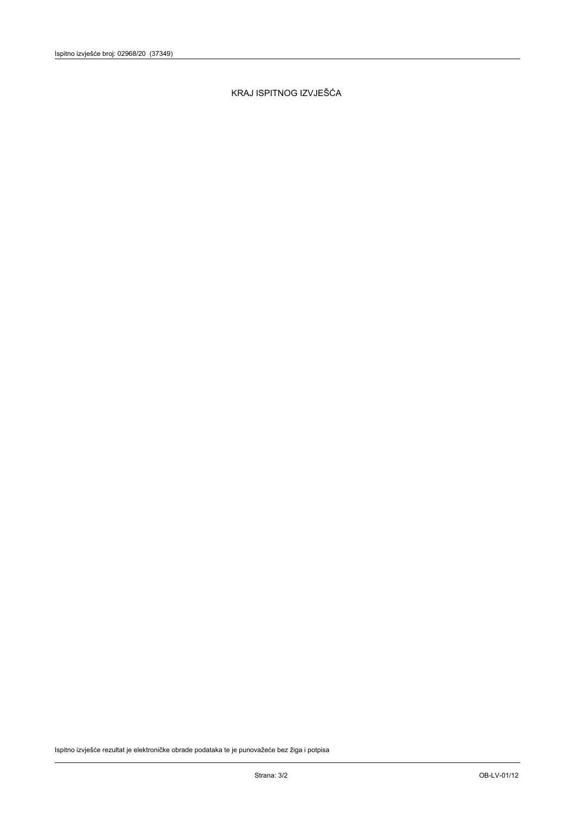KRAJ ISPITNOG IZVJEŠĆA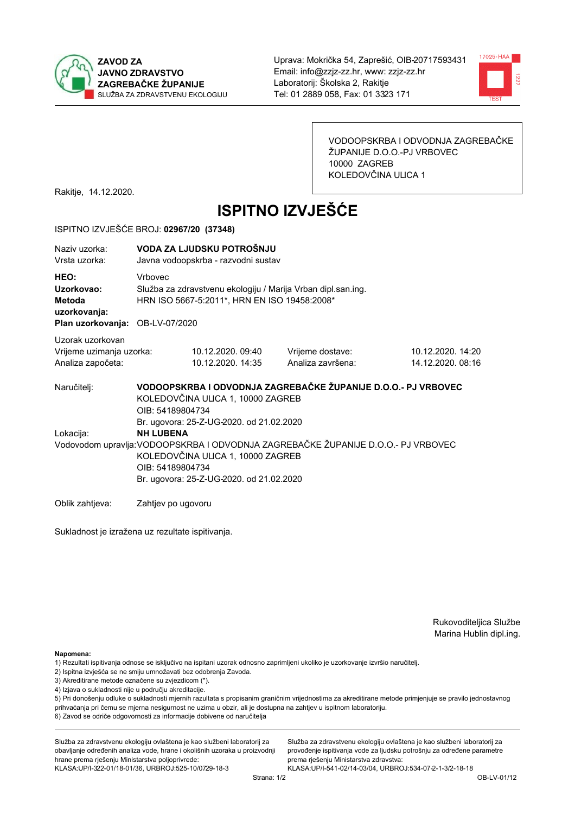



VODOOPSKRBA I ODVODNJA ZAGREBAČKE ŽUPANIJE D.O.O.-PJ VRBOVEC 10000 ZAGREB KOLEDOVČINA ULICA 1

Rakitje, 14.12.2020.

# **ISPITNO IZVJEŠĆE**

#### ISPITNO IZVJEŠĆE BROJ: 02967/20 (37348)

| Naziv uzorka:<br>Vrsta uzorka:                                                  |                                                                                                                                                                                                            | VODA ZA LJUDSKU POTROŠNJU<br>Javna vodoopskrba - razvodni sustav                                                                                                   |                                       |                                        |  |  |  |
|---------------------------------------------------------------------------------|------------------------------------------------------------------------------------------------------------------------------------------------------------------------------------------------------------|--------------------------------------------------------------------------------------------------------------------------------------------------------------------|---------------------------------------|----------------------------------------|--|--|--|
| HEO:<br>Uzorkovao:<br>Metoda<br>uzorkovanja:<br>Plan uzorkovanja: OB-LV-07/2020 | <b>Vrhovec</b>                                                                                                                                                                                             | Služba za zdravstvenu ekologiju / Marija Vrban dipl.san.ing.<br>HRN ISO 5667-5:2011*, HRN EN ISO 19458:2008*                                                       |                                       |                                        |  |  |  |
| Uzorak uzorkovan<br>Vrijeme uzimanja uzorka:<br>Analiza započeta:               |                                                                                                                                                                                                            | 10.12.2020.09:40<br>10.12.2020. 14:35                                                                                                                              | Vrijeme dostave:<br>Analiza završena: | 10.12.2020. 14:20<br>14.12.2020. 08:16 |  |  |  |
| Naručitelj:                                                                     |                                                                                                                                                                                                            | VODOOPSKRBA I ODVODNJA ZAGREBAČKE ŽUPANIJE D.O.O.- PJ VRBOVEC<br>KOLEDOVČINA ULICA 1, 10000 ZAGREB<br>OIB: 54189804734<br>Br. ugovora: 25-Z-UG-2020. od 21.02.2020 |                                       |                                        |  |  |  |
| Lokacija:                                                                       | <b>NH LUBENA</b><br>Vodovodom upravlja: VODOOPSKRBA I ODVODNJA ZAGREBAČKE ŽUPANIJE D.O.O.- PJ VRBOVEC<br>KOLEDOVČINA ULICA 1, 10000 ZAGREB<br>OIB: 54189804734<br>Br. ugovora: 25-Z-UG-2020. od 21.02.2020 |                                                                                                                                                                    |                                       |                                        |  |  |  |
| Oblik zahtjeva:                                                                 | Zahtjev po ugovoru                                                                                                                                                                                         |                                                                                                                                                                    |                                       |                                        |  |  |  |

Sukladnost je izražena uz rezultate ispitivanja.

Rukovoditeljica Službe Marina Hublin dipl.ing.

Napomena:

- 2) Ispitna izvješća se ne smiju umnožavati bez odobrenja Zavoda.
- 3) Akreditirane metode označene su zvjezdicom (\*).
- 4) Izjava o sukladnosti nije u području akreditacije.

5) Pri donošenju odluke o sukladnosti mjernih razultata s propisanim graničnim vrijednostima za akreditirane metode primjenjuje se pravilo jednostavnog prihvaćanja pri čemu se mjerna nesigurnost ne uzima u obzir, ali je dostupna na zahtjev u ispitnom laboratoriju.

6) Zavod se odriče odgovornosti za informacije dobivene od naručitelja

Služba za zdravstvenu ekologiju ovlaštena je kao službeni laboratorij za obavljanje određenih analiza vode, hrane i okolišnih uzoraka u proizvodnji hrane prema rješenju Ministarstva poljoprivrede: KLASA: UP/I-322-01/18-01/36, URBROJ: 525-10/0729-18-3

Služba za zdravstvenu ekologiju ovlaštena je kao službeni laboratorij za provođenje ispitivanja vode za ljudsku potrošnju za određene parametre prema riešenju Ministarstva zdravstva:

<sup>1)</sup> Rezultati ispitivanja odnose se isključivo na ispitani uzorak odnosno zaprimljeni ukoliko je uzorkovanje izvršio naručiteli.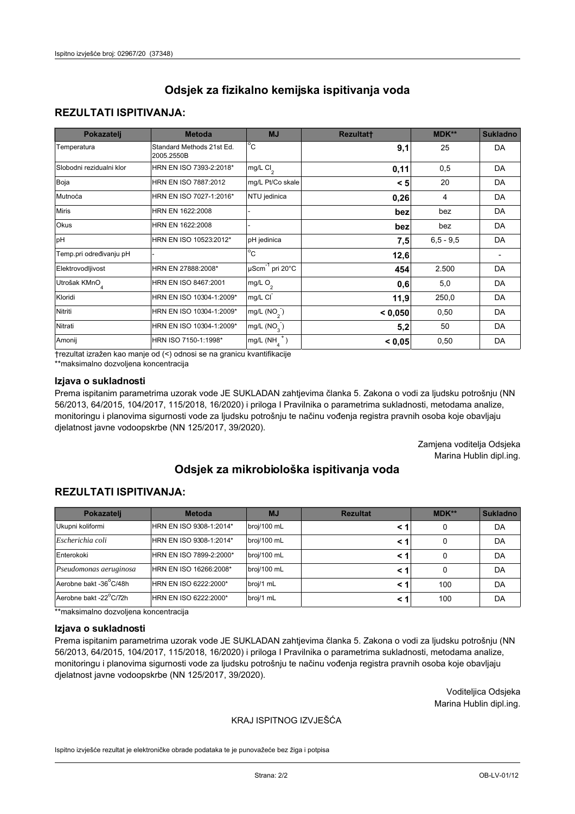## **REZULTATI ISPITIVANJA:**

| Pokazatelj                | <b>Metoda</b>                           | <b>MJ</b>                        | <b>Rezultatt</b> | MDK**       | <b>Sukladno</b> |
|---------------------------|-----------------------------------------|----------------------------------|------------------|-------------|-----------------|
| Temperatura               | Standard Methods 21st Ed.<br>2005.2550B | $^{\circ}$ C                     | 9,1              | 25          | DA              |
| Slobodni rezidualni klor  | HRN EN ISO 7393-2:2018*                 | mg/L $Cl2$                       | 0,11             | 0,5         | DA              |
| Boja                      | HRN EN ISO 7887:2012                    | mg/L Pt/Co skale                 | < 5              | 20          | DA              |
| Mutnoća                   | HRN EN ISO 7027-1:2016*                 | NTU jedinica                     | 0,26             | 4           | DA              |
| <b>Miris</b>              | HRN EN 1622:2008                        |                                  | bez              | bez         | DA              |
| Okus                      | HRN EN 1622:2008                        |                                  | bez              | bez         | DA              |
| pH                        | HRN EN ISO 10523:2012*                  | pH jedinica                      | 7,5              | $6,5 - 9,5$ | DA              |
| Temp.pri određivanju pH   |                                         | $\overline{c}$                   | 12,6             |             |                 |
| Elektrovodljivost         | HRN EN 27888:2008*                      | $\mu$ Scm <sup>-1</sup> pri 20°C | 454              | 2.500       | DA              |
| Utrošak KMnO <sub>4</sub> | HRN EN ISO 8467:2001                    | mg/L O <sub>2</sub>              | 0,6              | 5,0         | DA              |
| Kloridi                   | HRN EN ISO 10304-1:2009*                | mg/L CI                          | 11,9             | 250,0       | DA              |
| Nitriti                   | HRN EN ISO 10304-1:2009*                | mg/L $(NO2)$                     | < 0,050          | 0,50        | DA              |
| Nitrati                   | HRN EN ISO 10304-1:2009*                | mg/L (NO <sub>3</sub> )          | 5,2              | 50          | DA              |
| Amonij                    | HRN ISO 7150-1:1998*                    | $mg/L(NH_A^+)$                   | < 0,05           | 0,50        | DA              |

trezultat izražen kao manje od (<) odnosi se na granicu kvantifikacije

\*\*maksimalno dozvoljena koncentracija

## Izjava o sukladnosti

Prema ispitanim parametrima uzorak vode JE SUKLADAN zahtjevima članka 5. Zakona o vodi za ljudsku potrošnju (NN 56/2013, 64/2015, 104/2017, 115/2018, 16/2020) i priloga I Pravilnika o parametrima sukladnosti, metodama analize, monitoringu i planovima sigurnosti vode za ljudsku potrošnju te načinu vođenja registra pravnih osoba koje obavljaju djelatnost javne vodoopskrbe (NN 125/2017, 39/2020).

> Zamjena voditelja Odsjeka Marina Hublin dipl.ing.

# Odsiek za mikrobiološka ispitivanja voda

## **REZULTATI ISPITIVANJA:**

| Pokazatelj             | <b>Rezultat</b><br><b>Metoda</b><br><b>MJ</b> |             | $MDK**$ | <b>Sukladno</b> |    |
|------------------------|-----------------------------------------------|-------------|---------|-----------------|----|
| Ukupni koliformi       | HRN EN ISO 9308-1:2014*                       | broj/100 mL | < 1     | 0               | DA |
| Escherichia coli       | HRN EN ISO 9308-1:2014*                       | broj/100 mL | < 1     | 0               | DA |
| Enterokoki             | HRN EN ISO 7899-2:2000*                       | broj/100 mL | < 1     |                 | DA |
| Pseudomonas aeruginosa | HRN EN ISO 16266:2008*                        | broj/100 mL | < 1     | 0               | DA |
| Aerobne bakt -36°C/48h | HRN EN ISO 6222:2000*                         | broj/1 mL   | < 1     | 100             | DA |
| Aerobne bakt -22°C/72h | HRN EN ISO 6222:2000*                         | broj/1 mL   | < 1     | 100             | DA |

\*\*maksimalno dozvoljena koncentracija

#### Izjava o sukladnosti

Prema ispitanim parametrima uzorak vode JE SUKLADAN zahtjevima članka 5. Zakona o vodi za ljudsku potrošnju (NN 56/2013, 64/2015, 104/2017, 115/2018, 16/2020) i priloga I Pravilnika o parametrima sukladnosti, metodama analize, monitoringu i planovima sigurnosti vode za ljudsku potrošnju te načinu vođenja registra pravnih osoba koje obavljaju djelatnost javne vodoopskrbe (NN 125/2017, 39/2020).

> Voditeljica Odsjeka Marina Hublin dipl.ing.

### KRAJ ISPITNOG IZVJEŠĆA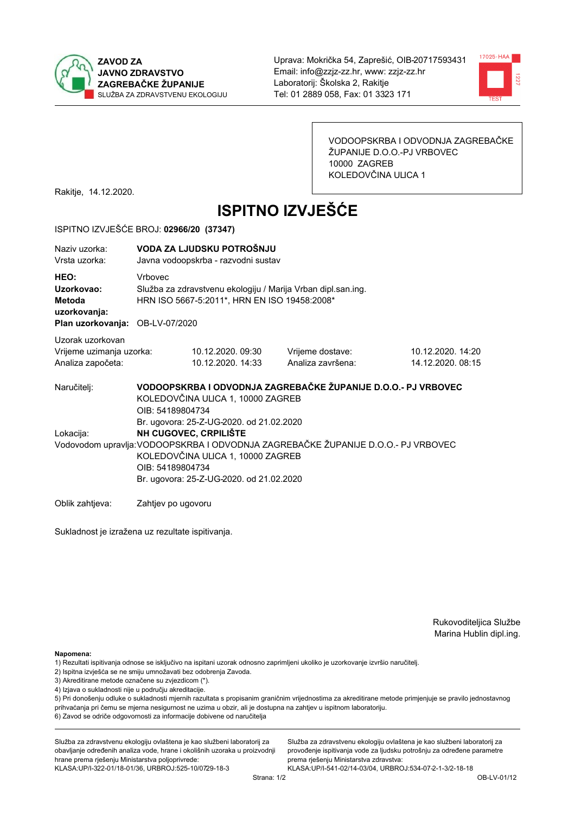



VODOOPSKRBA I ODVODNJA ZAGREBAČKE ŽUPANIJE D.O.O.-PJ VRBOVEC 10000 ZAGREB KOLEDOVČINA ULICA 1

Rakitje, 14.12.2020.

# **ISPITNO IZVJEŠĆE**

#### ISPITNO IZVJEŠĆE BROJ: 02966/20 (37347)

| Naziv uzorka:<br>Vrsta uzorka:                                                  |                                                                                                                                                                                                                                                             | VODA ZA LJUDSKU POTROŠNJU<br>Javna vodoopskrba - razvodni sustav                                                       |                                       |                                        |  |  |  |
|---------------------------------------------------------------------------------|-------------------------------------------------------------------------------------------------------------------------------------------------------------------------------------------------------------------------------------------------------------|------------------------------------------------------------------------------------------------------------------------|---------------------------------------|----------------------------------------|--|--|--|
| HEO:<br>Uzorkovao:<br>Metoda<br>uzorkovanja:<br>Plan uzorkovanja: OB-LV-07/2020 | Vrbovec                                                                                                                                                                                                                                                     | Služba za zdravstvenu ekologiju / Marija Vrban dipl.san.ing.<br>HRN ISO 5667-5:2011*, HRN EN ISO 19458:2008*           |                                       |                                        |  |  |  |
| Uzorak uzorkovan                                                                |                                                                                                                                                                                                                                                             |                                                                                                                        |                                       |                                        |  |  |  |
| Vrijeme uzimanja uzorka:<br>Analiza započeta:                                   |                                                                                                                                                                                                                                                             | 10.12.2020.09:30<br>10.12.2020. 14:33                                                                                  | Vrijeme dostave:<br>Analiza završena: | 10.12.2020. 14:20<br>14.12.2020. 08:15 |  |  |  |
| Naručitelj:                                                                     |                                                                                                                                                                                                                                                             | VODOOPSKRBA I ODVODNJA ZAGREBAČKE ŽUPANIJE D.O.O.- PJ VRBOVEC<br>KOLEDOVČINA ULICA 1, 10000 ZAGREB<br>OIB: 54189804734 |                                       |                                        |  |  |  |
| Lokacija:                                                                       | Br. ugovora: 25-Z-UG-2020. od 21.02.2020<br>NH CUGOVEC, CRPILIŠTE<br>Vodovodom upravlja: VODOOPSKRBA I ODVODNJA ZAGREBAČKE ŽUPANIJE D.O.O.- PJ VRBOVEC<br>KOLEDOVČINA ULICA 1, 10000 ZAGREB<br>OIB: 54189804734<br>Br. ugovora: 25-Z-UG-2020. od 21.02.2020 |                                                                                                                        |                                       |                                        |  |  |  |
| Oblik zahtieva:                                                                 | Zahtjev po ugovoru                                                                                                                                                                                                                                          |                                                                                                                        |                                       |                                        |  |  |  |

Sukladnost je izražena uz rezultate ispitivanja.

Rukovoditeljica Službe Marina Hublin dipl.ing.

Napomena:

- 1) Rezultati ispitivanja odnose se isključivo na ispitani uzorak odnosno zaprimljeni ukoliko je uzorkovanje izvršio naručiteli.
- 2) Ispitna izvješća se ne smiju umnožavati bez odobrenja Zavoda.
- 3) Akreditirane metode označene su zvjezdicom (\*).
- 4) Izjava o sukladnosti nije u području akreditacije.

5) Pri donošenju odluke o sukladnosti mjernih razultata s propisanim graničnim vrijednostima za akreditirane metode primjenjuje se pravilo jednostavnog prihvaćanja pri čemu se mjerna nesigurnost ne uzima u obzir, ali je dostupna na zahtjev u ispitnom laboratoriju.

6) Zavod se odriče odgovornosti za informacije dobivene od naručitelja

Služba za zdravstvenu ekologiju ovlaštena je kao službeni laboratorij za obavljanje određenih analiza vode, hrane i okolišnih uzoraka u proizvodnji hrane prema rješenju Ministarstva poljoprivrede: KLASA: UP/I-322-01/18-01/36, URBROJ: 525-10/0729-18-3

Služba za zdravstvenu ekologiju ovlaštena je kao službeni laboratorij za provođenje ispitivanja vode za ljudsku potrošnju za određene parametre prema riešenju Ministarstva zdravstva: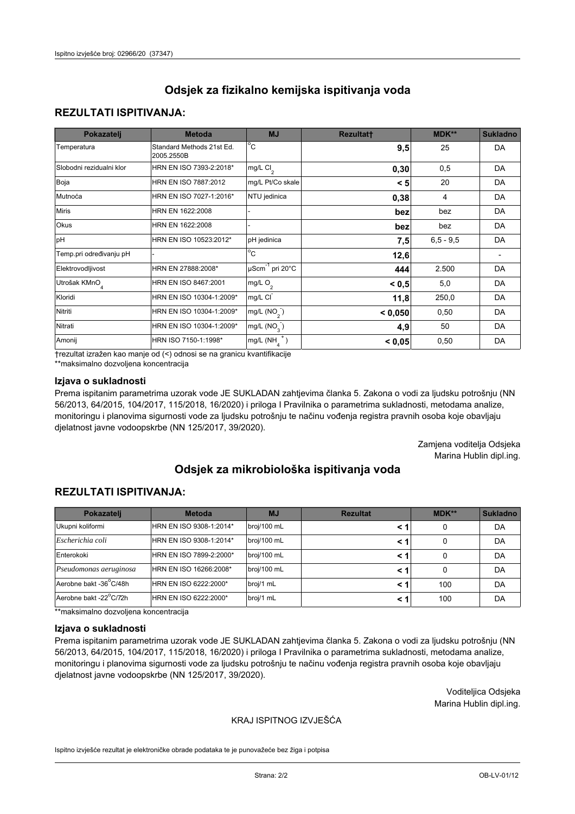# **REZULTATI ISPITIVANJA:**

| Pokazatelj                | <b>Metoda</b>                           | <b>MJ</b>                   | <b>Rezultatt</b> | <b>MDK**</b> | <b>Sukladno</b> |
|---------------------------|-----------------------------------------|-----------------------------|------------------|--------------|-----------------|
| Temperatura               | Standard Methods 21st Ed.<br>2005.2550B | $^{\circ}$ C                | 9,5              | 25           | DA              |
| Slobodni rezidualni klor  | HRN EN ISO 7393-2:2018*                 | mg/L $Cl_2$                 | 0, 30            | 0,5          | DA              |
| Boja                      | HRN EN ISO 7887:2012                    | mg/L Pt/Co skale            | < 5              | 20           | DA              |
| Mutnoća                   | HRN EN ISO 7027-1:2016*                 | NTU jedinica                | 0,38             | 4            | DA              |
| <b>Miris</b>              | HRN EN 1622:2008                        |                             | bez              | bez          | DA              |
| Okus                      | HRN EN 1622:2008                        |                             | bez              | bez          | DA              |
| pH                        | HRN EN ISO 10523:2012*                  | pH jedinica                 | 7,5              | $6.5 - 9.5$  | DA              |
| Temp.pri određivanju pH   |                                         | $\overline{c}$              | 12,6             |              |                 |
| Elektrovodljivost         | HRN EN 27888:2008*                      | µScm <sup>-1</sup> pri 20°C | 444              | 2.500        | DA              |
| Utrošak KMnO <sub>4</sub> | HRN EN ISO 8467:2001                    | mg/L O <sub>2</sub>         | < 0.5            | 5,0          | DA              |
| Kloridi                   | HRN EN ISO 10304-1:2009*                | mg/L CI                     | 11,8             | 250,0        | DA              |
| Nitriti                   | HRN EN ISO 10304-1:2009*                | mg/L $(NO2)$                | < 0,050          | 0,50         | DA              |
| Nitrati                   | HRN EN ISO 10304-1:2009*                | mg/L $(NO_{3})$             | 4,9              | 50           | DA              |
| Amonij                    | HRN ISO 7150-1:1998*                    | mg/L $(NH_A^+)$             | < 0,05           | 0,50         | DA              |

trezultat izražen kao manje od (<) odnosi se na granicu kvantifikacije

\*\*maksimalno dozvoljena koncentracija

## Izjava o sukladnosti

Prema ispitanim parametrima uzorak vode JE SUKLADAN zahtjevima članka 5. Zakona o vodi za ljudsku potrošnju (NN 56/2013, 64/2015, 104/2017, 115/2018, 16/2020) i priloga I Pravilnika o parametrima sukladnosti, metodama analize, monitoringu i planovima sigurnosti vode za ljudsku potrošnju te načinu vođenja registra pravnih osoba koje obavljaju djelatnost javne vodoopskrbe (NN 125/2017, 39/2020).

> Zamjena voditelja Odsjeka Marina Hublin dipl.ing.

# Odsiek za mikrobiološka ispitivanja voda

# **REZULTATI ISPITIVANJA:**

| Pokazatelj             | <b>Metoda</b><br><b>Rezultat</b><br><b>MJ</b> |             | $MDK**$ | <b>Sukladno</b> |    |
|------------------------|-----------------------------------------------|-------------|---------|-----------------|----|
| Ukupni koliformi       | HRN EN ISO 9308-1:2014*                       | broj/100 mL | < 1     | 0               | DA |
| Escherichia coli       | HRN EN ISO 9308-1:2014*                       | broj/100 mL | < 1     | 0               | DA |
| Enterokoki             | HRN EN ISO 7899-2:2000*                       | broj/100 mL | < 1     |                 | DA |
| Pseudomonas aeruginosa | HRN EN ISO 16266:2008*                        | broj/100 mL | < 1     | 0               | DA |
| Aerobne bakt -36°C/48h | HRN EN ISO 6222:2000*                         | broj/1 mL   | < 1     | 100             | DA |
| Aerobne bakt -22°C/72h | HRN EN ISO 6222:2000*                         | broj/1 mL   | < 1     | 100             | DA |

\*\*maksimalno dozvoljena koncentracija

#### Izjava o sukladnosti

Prema ispitanim parametrima uzorak vode JE SUKLADAN zahtjevima članka 5. Zakona o vodi za ljudsku potrošnju (NN 56/2013, 64/2015, 104/2017, 115/2018, 16/2020) i priloga I Pravilnika o parametrima sukladnosti, metodama analize, monitoringu i planovima sigurnosti vode za ljudsku potrošnju te načinu vođenja registra pravnih osoba koje obavljaju djelatnost javne vodoopskrbe (NN 125/2017, 39/2020).

> Voditeljica Odsjeka Marina Hublin dipl.ing.

## KRAJ ISPITNOG IZVJEŠĆA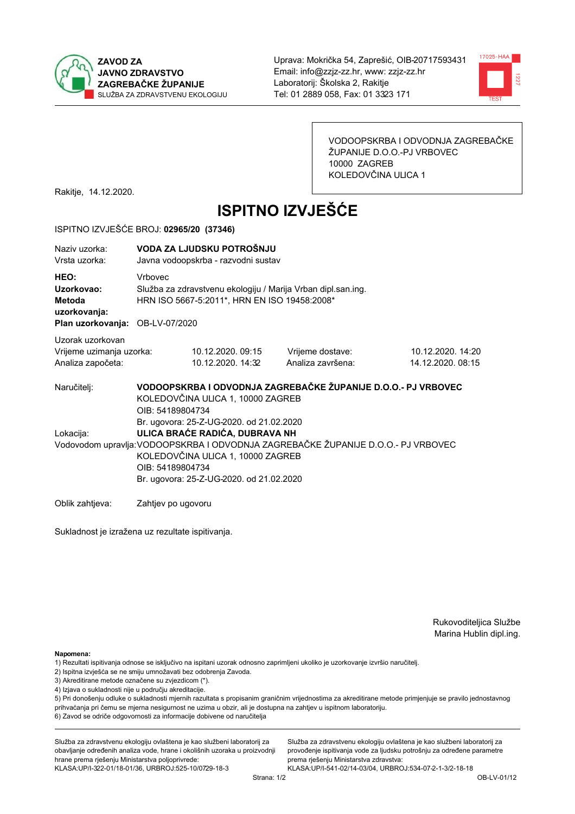



VODOOPSKRBA I ODVODNJA ZAGREBAČKE ŽUPANIJE D.O.O.-PJ VRBOVEC 10000 ZAGREB KOLEDOVČINA ULICA 1

Rakitje, 14.12.2020.

# **ISPITNO IZVJEŠĆE**

#### ISPITNO IZVJEŠĆE BROJ: 02965/20 (37346)

| Naziy uzorka:<br>Vrsta uzorka:                                                  |                    | VODA ZA LJUDSKU POTROŠNJU<br>Javna vodoopskrba - razvodni sustav                                                                                                                                                                                                     |                                                               |                                        |  |  |  |
|---------------------------------------------------------------------------------|--------------------|----------------------------------------------------------------------------------------------------------------------------------------------------------------------------------------------------------------------------------------------------------------------|---------------------------------------------------------------|----------------------------------------|--|--|--|
| HEO:<br>Uzorkovao:<br>Metoda<br>uzorkovanja:<br>Plan uzorkovanja: OB-LV-07/2020 | <b>Vrhovec</b>     | Služba za zdravstvenu ekologiju / Marija Vrban dipl.san.ing.<br>HRN ISO 5667-5:2011*, HRN EN ISO 19458:2008*                                                                                                                                                         |                                                               |                                        |  |  |  |
| Uzorak uzorkovan<br>Vrijeme uzimanja uzorka:<br>Analiza započeta:               |                    | 10.12.2020.09:15<br>10.12.2020. 14:32                                                                                                                                                                                                                                | Vrijeme dostave:<br>Analiza završena:                         | 10.12.2020. 14:20<br>14.12.2020. 08:15 |  |  |  |
| Naručitelj:                                                                     | OIB: 54189804734   | KOLEDOVČINA ULICA 1, 10000 ZAGREB                                                                                                                                                                                                                                    | VODOOPSKRBA I ODVODNJA ZAGREBAČKE ŽUPANIJE D.O.O.- PJ VRBOVEC |                                        |  |  |  |
| Lokacija:                                                                       |                    | Br. ugovora: 25-Z-UG-2020. od 21.02.2020<br>ULICA BRAĆE RADIĆA, DUBRAVA NH<br>Vodovodom upravlja: VODOOPSKRBA I ODVODNJA ZAGREBAČKE ŽUPANIJE D.O.O.- PJ VRBOVEC<br>KOLEDOVČINA ULICA 1, 10000 ZAGREB<br>OIB: 54189804734<br>Br. ugovora: 25-Z-UG-2020. od 21.02.2020 |                                                               |                                        |  |  |  |
| Oblik zahtieva:                                                                 | Zahtjev po ugovoru |                                                                                                                                                                                                                                                                      |                                                               |                                        |  |  |  |

Sukladnost je izražena uz rezultate ispitivanja.

Rukovoditeljica Službe Marina Hublin dipl.ing.

Napomena:

- 2) Ispitna izvješća se ne smiju umnožavati bez odobrenja Zavoda.
- 3) Akreditirane metode označene su zvjezdicom (\*).
- 4) Izjava o sukladnosti nije u području akreditacije.

5) Pri donošenju odluke o sukladnosti mjernih razultata s propisanim graničnim vrijednostima za akreditirane metode primjenjuje se pravilo jednostavnog prihvaćanja pri čemu se mjerna nesigurnost ne uzima u obzir, ali je dostupna na zahtjev u ispitnom laboratoriju.

6) Zavod se odriče odgovornosti za informacije dobivene od naručitelja

Služba za zdravstvenu ekologiju ovlaštena je kao službeni laboratorij za obavljanje određenih analiza vode, hrane i okolišnih uzoraka u proizvodnji hrane prema rješenju Ministarstva poljoprivrede: KLASA: UP/I-322-01/18-01/36, URBROJ: 525-10/0729-18-3

Služba za zdravstvenu ekologiju ovlaštena je kao službeni laboratorij za provođenje ispitivanja vode za ljudsku potrošnju za određene parametre prema riešenju Ministarstva zdravstva:

<sup>1)</sup> Rezultati ispitivanja odnose se isključivo na ispitani uzorak odnosno zaprimljeni ukoliko je uzorkovanje izvršio naručiteli.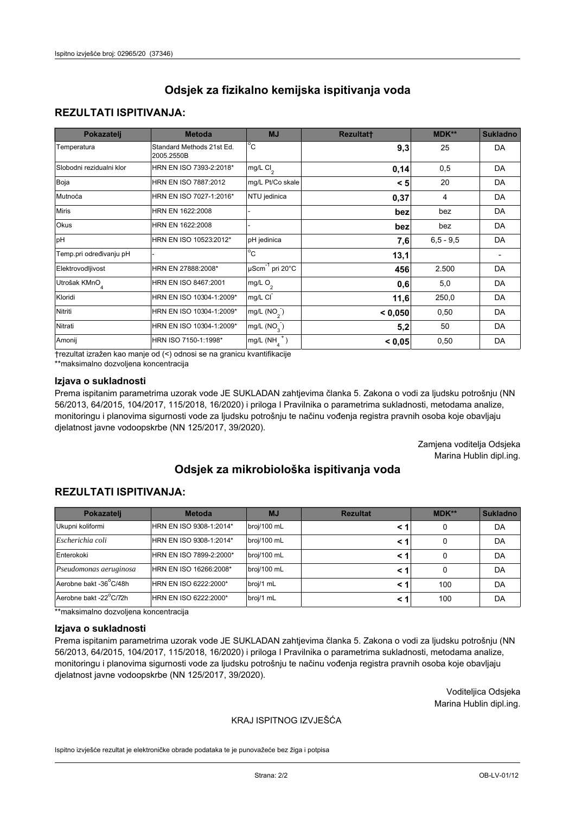# **REZULTATI ISPITIVANJA:**

| Pokazatelj                | <b>Metoda</b>                           | <b>MJ</b>                   | <b>Rezultatt</b> | <b>MDK**</b> | <b>Sukladno</b> |
|---------------------------|-----------------------------------------|-----------------------------|------------------|--------------|-----------------|
| Temperatura               | Standard Methods 21st Ed.<br>2005.2550B | $^{\circ}$ C                | 9,3              | 25           | DA              |
| Slobodni rezidualni klor  | HRN EN ISO 7393-2:2018*                 | mg/L $Cl_2$                 | 0,14             | 0,5          | DA              |
| Boja                      | HRN EN ISO 7887:2012                    | mg/L Pt/Co skale            | < 5              | 20           | DA              |
| Mutnoća                   | HRN EN ISO 7027-1:2016*                 | NTU jedinica                | 0,37             | 4            | DA              |
| <b>Miris</b>              | HRN EN 1622:2008                        |                             | bez              | bez          | DA              |
| Okus                      | HRN EN 1622:2008                        |                             | bez              | bez          | DA              |
| pH                        | HRN EN ISO 10523:2012*                  | pH jedinica                 | 7,6              | $6.5 - 9.5$  | DA              |
| Temp.pri određivanju pH   |                                         | $\overline{c}$              | 13,1             |              |                 |
| Elektrovodljivost         | HRN EN 27888:2008*                      | µScm <sup>-1</sup> pri 20°C | 456              | 2.500        | DA              |
| Utrošak KMnO <sub>4</sub> | HRN EN ISO 8467:2001                    | mg/L O <sub>2</sub>         | 0,6              | 5,0          | DA              |
| Kloridi                   | HRN EN ISO 10304-1:2009*                | mg/L CI                     | 11,6             | 250,0        | DA              |
| Nitriti                   | HRN EN ISO 10304-1:2009*                | mg/L $(NO2)$                | < 0,050          | 0,50         | DA              |
| Nitrati                   | HRN EN ISO 10304-1:2009*                | mg/L (NO <sub>3</sub> )     | 5,2              | 50           | DA              |
| Amonij                    | HRN ISO 7150-1:1998*                    | mg/L $(NH_A^+)$             | < 0,05           | 0,50         | DA              |

trezultat izražen kao manje od (<) odnosi se na granicu kvantifikacije

\*\*maksimalno dozvoljena koncentracija

## Izjava o sukladnosti

Prema ispitanim parametrima uzorak vode JE SUKLADAN zahtjevima članka 5. Zakona o vodi za ljudsku potrošnju (NN 56/2013, 64/2015, 104/2017, 115/2018, 16/2020) i priloga I Pravilnika o parametrima sukladnosti, metodama analize, monitoringu i planovima sigurnosti vode za ljudsku potrošnju te načinu vođenja registra pravnih osoba koje obavljaju djelatnost javne vodoopskrbe (NN 125/2017, 39/2020).

> Zamjena voditelja Odsjeka Marina Hublin dipl.ing.

# Odsiek za mikrobiološka ispitivanja voda

# **REZULTATI ISPITIVANJA:**

| Pokazatelj             | <b>Metoda</b>           | <b>MJ</b>   | <b>Rezultat</b> | MDK** | <b>Sukladno</b> |
|------------------------|-------------------------|-------------|-----------------|-------|-----------------|
| Ukupni koliformi       | HRN EN ISO 9308-1:2014* | broj/100 mL |                 | 0     | DA              |
| Escherichia coli       | HRN EN ISO 9308-1:2014* | broj/100 mL | < 1             | 0     | DA              |
| Enterokoki             | HRN EN ISO 7899-2:2000* | broj/100 mL | < 1             | 0     | DA              |
| Pseudomonas aeruginosa | HRN EN ISO 16266:2008*  | broj/100 mL | < 1             | 0     | DA              |
| Aerobne bakt -36°C/48h | HRN EN ISO 6222:2000*   | broj/1 mL   | < 1             | 100   | DA              |
| Aerobne bakt -22°C/72h | HRN EN ISO 6222:2000*   | broj/1 mL   | < 1             | 100   | DA              |

\*\*maksimalno dozvoljena koncentracija

#### Izjava o sukladnosti

Prema ispitanim parametrima uzorak vode JE SUKLADAN zahtjevima članka 5. Zakona o vodi za ljudsku potrošnju (NN 56/2013, 64/2015, 104/2017, 115/2018, 16/2020) i priloga I Pravilnika o parametrima sukladnosti, metodama analize, monitoringu i planovima sigurnosti vode za ljudsku potrošnju te načinu vođenja registra pravnih osoba koje obavljaju djelatnost javne vodoopskrbe (NN 125/2017, 39/2020).

> Voditeljica Odsjeka Marina Hublin dipl.ing.

## KRAJ ISPITNOG IZVJEŠĆA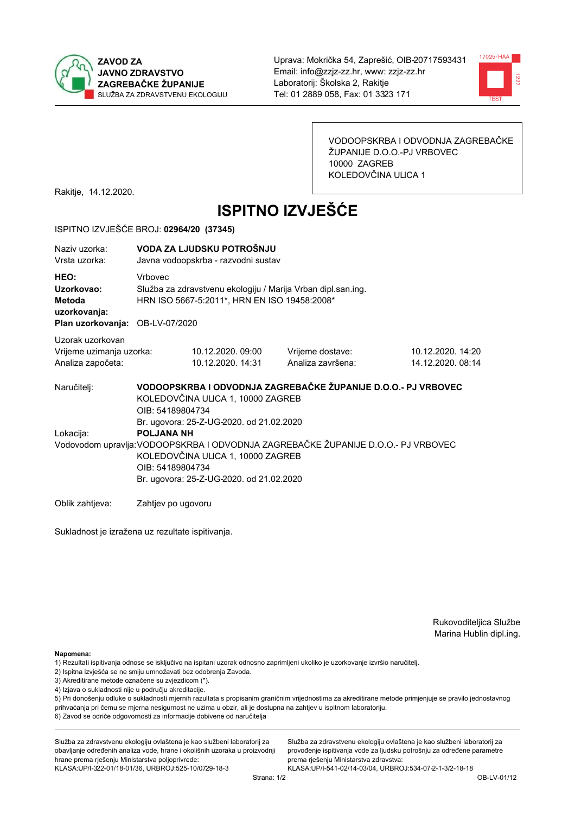



VODOOPSKRBA I ODVODNJA ZAGREBAČKE ŽUPANIJE D.O.O.-PJ VRBOVEC 10000 ZAGREB KOLEDOVČINA ULICA 1

Rakitje, 14.12.2020.

# **ISPITNO IZVJEŠĆE**

#### ISPITNO IZVJEŠĆE BROJ: 02964/20 (37345)

| Naziv uzorka:<br>Vrsta uzorka:                                                  |                                                                                                                                                                                                                                                         | VODA ZA LJUDSKU POTROŠNJU<br>Javna vodoopskrba - razvodni sustav                                                       |                                       |                                        |  |  |  |
|---------------------------------------------------------------------------------|---------------------------------------------------------------------------------------------------------------------------------------------------------------------------------------------------------------------------------------------------------|------------------------------------------------------------------------------------------------------------------------|---------------------------------------|----------------------------------------|--|--|--|
| HEO:<br>Uzorkovao:<br>Metoda<br>uzorkovanja:<br>Plan uzorkovanja: OB-LV-07/2020 | <b>Vrhovec</b>                                                                                                                                                                                                                                          | Služba za zdravstvenu ekologiju / Marija Vrban dipl.san.ing.<br>HRN ISO 5667-5:2011*, HRN EN ISO 19458:2008*           |                                       |                                        |  |  |  |
| Uzorak uzorkovan<br>Vrijeme uzimanja uzorka:<br>Analiza započeta:               |                                                                                                                                                                                                                                                         | 10.12.2020.09:00<br>10.12.2020. 14:31                                                                                  | Vrijeme dostave:<br>Analiza završena: | 10.12.2020. 14:20<br>14.12.2020. 08:14 |  |  |  |
| Naručitelj:                                                                     |                                                                                                                                                                                                                                                         | VODOOPSKRBA I ODVODNJA ZAGREBAČKE ŽUPANIJE D.O.O.- PJ VRBOVEC<br>KOLEDOVČINA ULICA 1, 10000 ZAGREB<br>OIB: 54189804734 |                                       |                                        |  |  |  |
| Lokacija:                                                                       | Br. ugovora: 25-Z-UG-2020. od 21.02.2020<br><b>POLJANA NH</b><br>Vodovodom upravlja: VODOOPSKRBA I ODVODNJA ZAGREBAČKE ŽUPANIJE D.O.O.- PJ VRBOVEC<br>KOLEDOVČINA ULICA 1, 10000 ZAGREB<br>OIB: 54189804734<br>Br. ugovora: 25-Z-UG-2020. od 21.02.2020 |                                                                                                                        |                                       |                                        |  |  |  |
| Oblik zahtjeva:                                                                 | Zahtjev po ugovoru                                                                                                                                                                                                                                      |                                                                                                                        |                                       |                                        |  |  |  |

Sukladnost je izražena uz rezultate ispitivanja.

Rukovoditeljica Službe Marina Hublin dipl.ing.

Napomena:

- 2) Ispitna izvješća se ne smiju umnožavati bez odobrenja Zavoda.
- 3) Akreditirane metode označene su zvjezdicom (\*).
- 4) Izjava o sukladnosti nije u području akreditacije.

5) Pri donošenju odluke o sukladnosti mjernih razultata s propisanim graničnim vrijednostima za akreditirane metode primjenjuje se pravilo jednostavnog prihvaćanja pri čemu se mjerna nesigurnost ne uzima u obzir, ali je dostupna na zahtjev u ispitnom laboratoriju.

6) Zavod se odriče odgovornosti za informacije dobivene od naručitelja

Služba za zdravstvenu ekologiju ovlaštena je kao službeni laboratorij za obavljanje određenih analiza vode, hrane i okolišnih uzoraka u proizvodnji hrane prema rješenju Ministarstva poljoprivrede: KLASA: UP/I-322-01/18-01/36, URBROJ: 525-10/0729-18-3

Služba za zdravstvenu ekologiju ovlaštena je kao službeni laboratorij za provođenje ispitivanja vode za ljudsku potrošnju za određene parametre prema riešenju Ministarstva zdravstva:

<sup>1)</sup> Rezultati ispitivanja odnose se isključivo na ispitani uzorak odnosno zaprimljeni ukoliko je uzorkovanje izvršio naručiteli.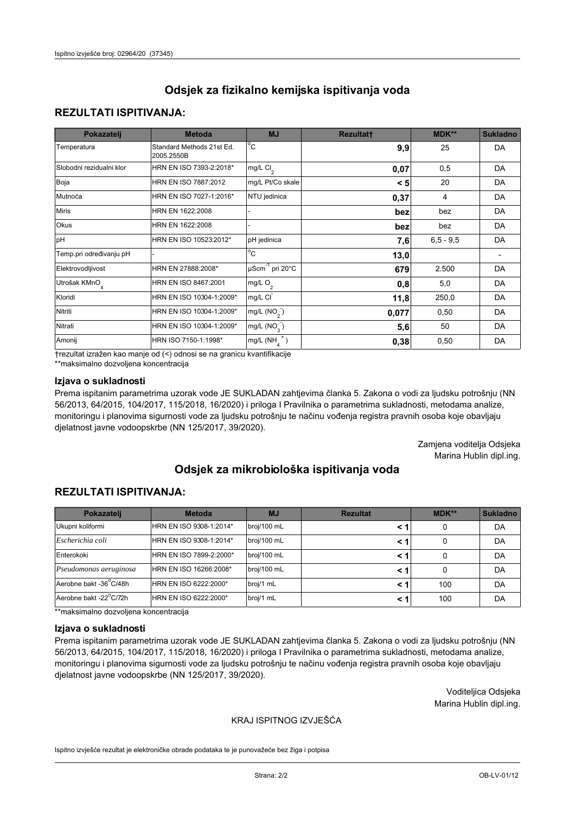# **REZULTATI ISPITIVANJA:**

| Pokazatelj                | <b>Metoda</b>                           | <b>MJ</b>                        | <b>Rezultatt</b> | <b>MDK**</b> | <b>Sukladno</b> |
|---------------------------|-----------------------------------------|----------------------------------|------------------|--------------|-----------------|
| Temperatura               | Standard Methods 21st Ed.<br>2005.2550B | $^{\circ}$ C                     | 9,9              | 25           | DA              |
| Slobodni rezidualni klor  | HRN EN ISO 7393-2:2018*                 | mg/L $Cl2$                       | 0,07             | 0,5          | DA              |
| Boja                      | HRN EN ISO 7887:2012                    | mg/L Pt/Co skale                 | < 5              | 20           | DA              |
| Mutnoća                   | HRN EN ISO 7027-1:2016*                 | NTU jedinica                     | 0,37             | 4            | DA              |
| <b>Miris</b>              | HRN EN 1622:2008                        |                                  | bez              | bez          | DA              |
| Okus                      | HRN EN 1622:2008                        |                                  | bez              | bez          | DA              |
| pH                        | HRN EN ISO 10523:2012*                  | pH jedinica                      | 7,6              | $6.5 - 9.5$  | DA              |
| Temp.pri određivanju pH   |                                         | $\overline{c}$                   | 13,0             |              |                 |
| Elektrovodljivost         | HRN EN 27888:2008*                      | $\mu$ Scm <sup>-1</sup> pri 20°C | 679              | 2.500        | DA              |
| Utrošak KMnO <sub>4</sub> | HRN EN ISO 8467:2001                    | mg/L $O_2$                       | 0,8              | 5,0          | DA              |
| Kloridi                   | HRN EN ISO 10304-1:2009*                | mg/L CI                          | 11,8             | 250,0        | DA              |
| Nitriti                   | HRN EN ISO 10304-1:2009*                | mg/L $(NO2)$                     | 0,077            | 0,50         | DA              |
| Nitrati                   | HRN EN ISO 10304-1:2009*                | mg/L $(NO3)$                     | 5,6              | 50           | DA              |
| Amonij                    | HRN ISO 7150-1:1998*                    | mg/L $(NH_{\lambda}^{\dagger})$  | 0,38             | 0,50         | DA              |

trezultat izražen kao manje od (<) odnosi se na granicu kvantifikacije

\*\*maksimalno dozvoljena koncentracija

## Izjava o sukladnosti

Prema ispitanim parametrima uzorak vode JE SUKLADAN zahtjevima članka 5. Zakona o vodi za ljudsku potrošnju (NN 56/2013, 64/2015, 104/2017, 115/2018, 16/2020) i priloga I Pravilnika o parametrima sukladnosti, metodama analize, monitoringu i planovima sigurnosti vode za ljudsku potrošnju te načinu vođenja registra pravnih osoba koje obavljaju djelatnost javne vodoopskrbe (NN 125/2017, 39/2020).

> Zamjena voditelja Odsjeka Marina Hublin dipl.ing.

# Odsiek za mikrobiološka ispitivanja voda

# **REZULTATI ISPITIVANJA:**

| Pokazatelj             | <b>Metoda</b>           | <b>MJ</b>   | <b>Rezultat</b> | MDK** | <b>Sukladno</b> |
|------------------------|-------------------------|-------------|-----------------|-------|-----------------|
| Ukupni koliformi       | HRN EN ISO 9308-1:2014* | broj/100 mL |                 | 0     | DA              |
| Escherichia coli       | HRN EN ISO 9308-1:2014* | broj/100 mL | < 1             | 0     | DA              |
| Enterokoki             | HRN EN ISO 7899-2:2000* | broj/100 mL | < 1             | 0     | DA              |
| Pseudomonas aeruginosa | HRN EN ISO 16266:2008*  | broj/100 mL | < 1             | 0     | DA              |
| Aerobne bakt -36°C/48h | HRN EN ISO 6222:2000*   | broj/1 mL   |                 | 100   | DA              |
| Aerobne bakt -22°C/72h | HRN EN ISO 6222:2000*   | broj/1 mL   | < 1             | 100   | DA              |

\*\*maksimalno dozvoljena koncentracija

#### Izjava o sukladnosti

Prema ispitanim parametrima uzorak vode JE SUKLADAN zahtjevima članka 5. Zakona o vodi za ljudsku potrošnju (NN 56/2013, 64/2015, 104/2017, 115/2018, 16/2020) i priloga I Pravilnika o parametrima sukladnosti, metodama analize, monitoringu i planovima sigurnosti vode za ljudsku potrošnju te načinu vođenja registra pravnih osoba koje obavljaju djelatnost javne vodoopskrbe (NN 125/2017, 39/2020).

> Voditeljica Odsjeka Marina Hublin dipl.ing.

## KRAJ ISPITNOG IZVJEŠĆA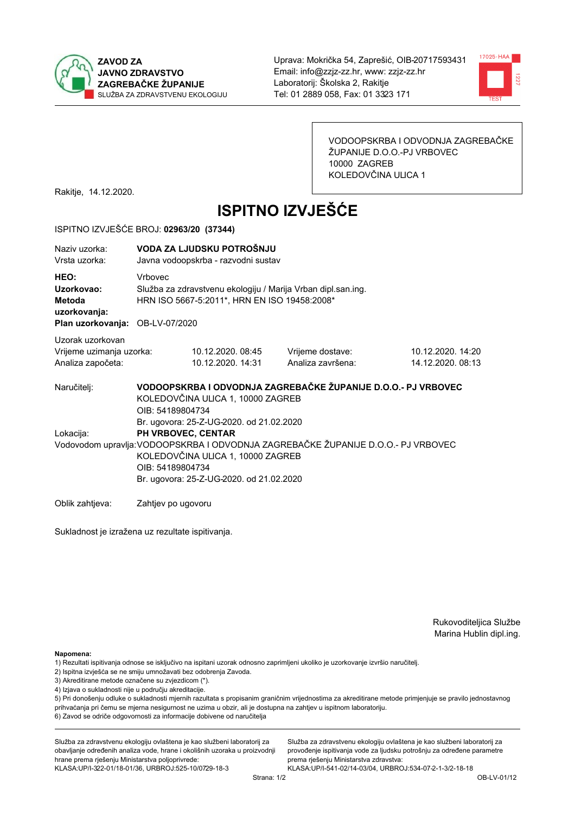



VODOOPSKRBA I ODVODNJA ZAGREBAČKE ŽUPANIJE D.O.O.-PJ VRBOVEC 10000 ZAGREB KOLEDOVČINA ULICA 1

Rakitje, 14.12.2020.

# **ISPITNO IZVJEŠĆE**

#### ISPITNO IZVJEŠĆE BROJ: 02963/20 (37344)

| Naziv uzorka:<br>Vrsta uzorka:                                                  |                                                                                                                                                                                                                                                          | VODA ZA LJUDSKU POTROŠNJU<br>Javna vodoopskrba - razvodni sustav                                             |                                                               |                                        |  |  |
|---------------------------------------------------------------------------------|----------------------------------------------------------------------------------------------------------------------------------------------------------------------------------------------------------------------------------------------------------|--------------------------------------------------------------------------------------------------------------|---------------------------------------------------------------|----------------------------------------|--|--|
| HEO:<br>Uzorkovao:<br>Metoda<br>uzorkovanja:<br>Plan uzorkovanja: OB-LV-07/2020 | <b>Vrhovec</b>                                                                                                                                                                                                                                           | Služba za zdravstvenu ekologiju / Marija Vrban dipl.san.ing.<br>HRN ISO 5667-5:2011*, HRN EN ISO 19458:2008* |                                                               |                                        |  |  |
| Uzorak uzorkovan<br>Vrijeme uzimanja uzorka:<br>Analiza započeta:               |                                                                                                                                                                                                                                                          | 10.12.2020.08:45<br>10.12.2020. 14:31                                                                        | Vrijeme dostave:<br>Analiza završena:                         | 10.12.2020. 14:20<br>14.12.2020. 08:13 |  |  |
| Naručitelj:                                                                     | OIB: 54189804734                                                                                                                                                                                                                                         | KOLEDOVČINA ULICA 1, 10000 ZAGREB                                                                            | VODOOPSKRBA I ODVODNJA ZAGREBAČKE ŽUPANIJE D.O.O.- PJ VRBOVEC |                                        |  |  |
| Lokacija:                                                                       | Br. ugovora: 25-Z-UG-2020. od 21.02.2020<br>PH VRBOVEC, CENTAR<br>Vodovodom upravlja: VODOOPSKRBA I ODVODNJA ZAGREBAČKE ŽUPANIJE D.O.O.- PJ VRBOVEC<br>KOLEDOVČINA ULICA 1, 10000 ZAGREB<br>OIB: 54189804734<br>Br. ugovora: 25-Z-UG-2020. od 21.02.2020 |                                                                                                              |                                                               |                                        |  |  |
| Oblik zahtieva:                                                                 | Zahtjev po ugovoru                                                                                                                                                                                                                                       |                                                                                                              |                                                               |                                        |  |  |

Sukladnost je izražena uz rezultate ispitivanja.

Rukovoditeljica Službe Marina Hublin dipl.ing.

Napomena:

- 1) Rezultati ispitivanja odnose se isključivo na ispitani uzorak odnosno zaprimljeni ukoliko je uzorkovanje izvršio naručiteli.
- 2) Ispitna izvješća se ne smiju umnožavati bez odobrenja Zavoda.
- 3) Akreditirane metode označene su zvjezdicom (\*).
- 4) Izjava o sukladnosti nije u području akreditacije.

5) Pri donošenju odluke o sukladnosti mjernih razultata s propisanim graničnim vrijednostima za akreditirane metode primjenjuje se pravilo jednostavnog prihvaćanja pri čemu se mjerna nesigurnost ne uzima u obzir, ali je dostupna na zahtjev u ispitnom laboratoriju.

6) Zavod se odriče odgovornosti za informacije dobivene od naručitelja

Služba za zdravstvenu ekologiju ovlaštena je kao službeni laboratorij za obavljanje određenih analiza vode, hrane i okolišnih uzoraka u proizvodnji hrane prema rješenju Ministarstva poljoprivrede: KLASA.UP/I-322-01/18-01/36, URBROJ.525-10/0729-18-3

Služba za zdravstvenu ekologiju ovlaštena je kao službeni laboratorij za provođenje ispitivanja vode za ljudsku potrošnju za određene parametre prema riešenju Ministarstva zdravstva: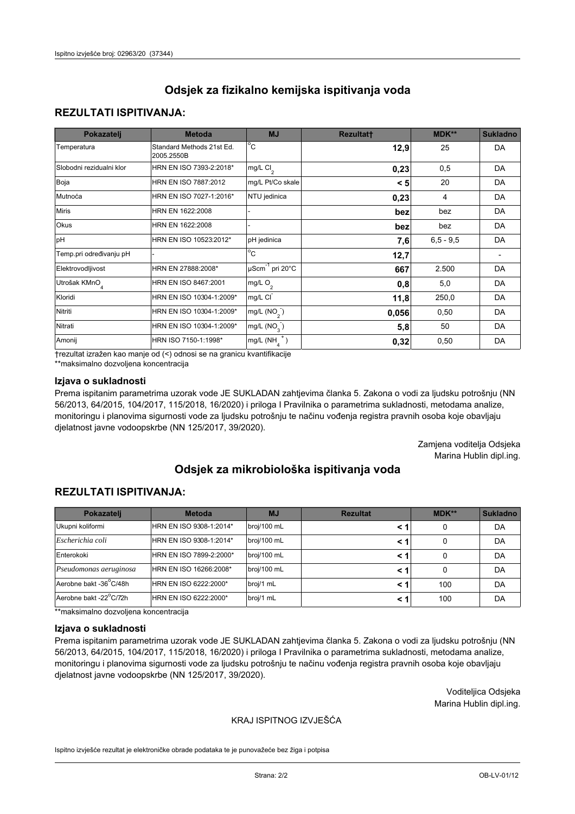# **REZULTATI ISPITIVANJA:**

| Pokazatelj                | <b>Metoda</b>                           | <b>MJ</b>                   | <b>Rezultatt</b> | MDK**       | <b>Sukladno</b> |
|---------------------------|-----------------------------------------|-----------------------------|------------------|-------------|-----------------|
| Temperatura               | Standard Methods 21st Ed.<br>2005.2550B | $^{\circ}$ C                | 12,9             | 25          | DA              |
| Slobodni rezidualni klor  | HRN EN ISO 7393-2:2018*                 | $mg/L$ Cl <sub>2</sub>      | 0,23             | 0,5         | DA              |
| Boja                      | HRN EN ISO 7887:2012                    | mg/L Pt/Co skale            | < 5              | 20          | DA              |
| Mutnoća                   | HRN EN ISO 7027-1:2016*                 | NTU jedinica                | 0,23             | 4           | DA              |
| <b>Miris</b>              | HRN EN 1622:2008                        |                             | bez              | bez         | DA              |
| Okus                      | HRN EN 1622:2008                        |                             | bez              | bez         | DA              |
| pH                        | HRN EN ISO 10523:2012*                  | pH jedinica                 | 7,6              | $6,5 - 9,5$ | DA              |
| Temp.pri određivanju pH   |                                         | $\overline{C}$              | 12,7             |             |                 |
| Elektrovodljivost         | HRN EN 27888:2008*                      | µScm <sup>-1</sup> pri 20°C | 667              | 2.500       | DA              |
| Utrošak KMnO <sub>4</sub> | HRN EN ISO 8467:2001                    | mg/L O <sub>2</sub>         | 0,8              | 5,0         | DA              |
| Kloridi                   | HRN EN ISO 10304-1:2009*                | mg/L CI                     | 11,8             | 250,0       | DA              |
| Nitriti                   | HRN EN ISO 10304-1:2009*                | mg/L $(NO2)$                | 0,056            | 0,50        | DA              |
| Nitrati                   | HRN EN ISO 10304-1:2009*                | mg/L (NO <sub>3</sub> )     | 5,8              | 50          | DA              |
| Amonij                    | HRN ISO 7150-1:1998*                    | $mg/L(NH_A^+)$              | 0,32             | 0,50        | DA              |

trezultat izražen kao manje od (<) odnosi se na granicu kvantifikacije

\*\*maksimalno dozvoljena koncentracija

## Izjava o sukladnosti

Prema ispitanim parametrima uzorak vode JE SUKLADAN zahtjevima članka 5. Zakona o vodi za ljudsku potrošnju (NN 56/2013, 64/2015, 104/2017, 115/2018, 16/2020) i priloga I Pravilnika o parametrima sukladnosti, metodama analize, monitoringu i planovima sigurnosti vode za ljudsku potrošnju te načinu vođenja registra pravnih osoba koje obavljaju djelatnost javne vodoopskrbe (NN 125/2017, 39/2020).

> Zamjena voditelja Odsjeka Marina Hublin dipl.ing.

# Odsiek za mikrobiološka ispitivanja voda

# **REZULTATI ISPITIVANJA:**

| Pokazatelj             | <b>Metoda</b>           | <b>MJ</b>   | <b>Rezultat</b> | $MDK**$ | <b>Sukladno</b> |
|------------------------|-------------------------|-------------|-----------------|---------|-----------------|
| Ukupni koliformi       | HRN EN ISO 9308-1:2014* | broj/100 mL | < 1             | 0       | DA              |
| Escherichia coli       | HRN EN ISO 9308-1:2014* | broj/100 mL | < 1             | 0       | DA              |
| Enterokoki             | HRN EN ISO 7899-2:2000* | broj/100 mL | < 1             |         | DA              |
| Pseudomonas aeruginosa | HRN EN ISO 16266:2008*  | broj/100 mL | < 1             | 0       | DA              |
| Aerobne bakt -36°C/48h | HRN EN ISO 6222:2000*   | broj/1 mL   | < 1             | 100     | DA              |
| Aerobne bakt -22°C/72h | HRN EN ISO 6222:2000*   | broj/1 mL   | < 1             | 100     | DA              |

\*\*maksimalno dozvoljena koncentracija

#### Izjava o sukladnosti

Prema ispitanim parametrima uzorak vode JE SUKLADAN zahtjevima članka 5. Zakona o vodi za ljudsku potrošnju (NN 56/2013, 64/2015, 104/2017, 115/2018, 16/2020) i priloga I Pravilnika o parametrima sukladnosti, metodama analize, monitoringu i planovima sigurnosti vode za ljudsku potrošnju te načinu vođenja registra pravnih osoba koje obavljaju djelatnost javne vodoopskrbe (NN 125/2017, 39/2020).

> Voditeljica Odsjeka Marina Hublin dipl.ing.

## KRAJ ISPITNOG IZVJEŠĆA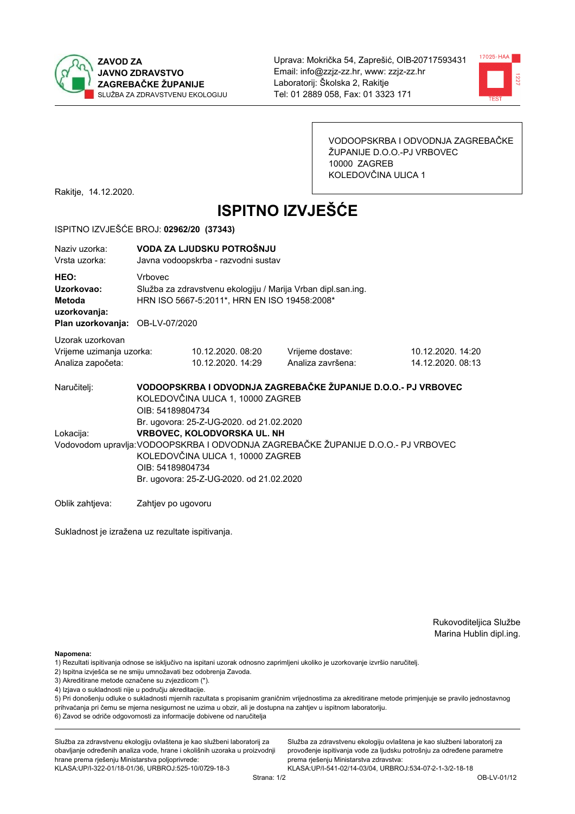



VODOOPSKRBA I ODVODNJA ZAGREBAČKE ŽUPANIJE D.O.O.-PJ VRBOVEC 10000 ZAGREB KOLEDOVČINA ULICA 1

Rakitje, 14.12.2020.

# **ISPITNO IZVJEŠĆE**

#### ISPITNO IZVJEŠĆE BROJ: 02962/20 (37343)

| Naziy uzorka:<br>Vrsta uzorka:                                                  |                    | VODA ZA LJUDSKU POTROŠNJU<br>Javna vodoopskrba - razvodni sustav                                                                                                                                                                                                  |                                                               |                                        |  |  |  |
|---------------------------------------------------------------------------------|--------------------|-------------------------------------------------------------------------------------------------------------------------------------------------------------------------------------------------------------------------------------------------------------------|---------------------------------------------------------------|----------------------------------------|--|--|--|
| HEO:<br>Uzorkovao:<br>Metoda<br>uzorkovanja:<br>Plan uzorkovanja: OB-LV-07/2020 | <b>Vrhovec</b>     | Služba za zdravstvenu ekologiju / Marija Vrban dipl.san.ing.<br>HRN ISO 5667-5:2011*, HRN EN ISO 19458:2008*                                                                                                                                                      |                                                               |                                        |  |  |  |
| Uzorak uzorkovan<br>Vrijeme uzimanja uzorka:<br>Analiza započeta:               |                    | 10.12.2020.08:20<br>10.12.2020. 14:29                                                                                                                                                                                                                             | Vrijeme dostave:<br>Analiza završena:                         | 10.12.2020. 14:20<br>14.12.2020. 08:13 |  |  |  |
| Naručiteli:                                                                     | OIB: 54189804734   | KOLEDOVČINA ULICA 1, 10000 ZAGREB                                                                                                                                                                                                                                 | VODOOPSKRBA I ODVODNJA ZAGREBAČKE ŽUPANIJE D.O.O.- PJ VRBOVEC |                                        |  |  |  |
| Lokacija:                                                                       |                    | Br. ugovora: 25-Z-UG-2020. od 21.02.2020<br>VRBOVEC, KOLODVORSKA UL. NH<br>Vodovodom upravlja: VODOOPSKRBA I ODVODNJA ZAGREBAČKE ŽUPANIJE D.O.O.- PJ VRBOVEC<br>KOLEDOVČINA ULICA 1, 10000 ZAGREB<br>OIB: 54189804734<br>Br. ugovora: 25-Z-UG-2020. od 21.02.2020 |                                                               |                                        |  |  |  |
| Oblik zahtieva:                                                                 | Zahtjev po ugovoru |                                                                                                                                                                                                                                                                   |                                                               |                                        |  |  |  |

Sukladnost je izražena uz rezultate ispitivanja.

Rukovoditeljica Službe Marina Hublin dipl.ing.

Napomena:

- 1) Rezultati ispitivanja odnose se isključivo na ispitani uzorak odnosno zaprimljeni ukoliko je uzorkovanje izvršio naručiteli.
- 2) Ispitna izvješća se ne smiju umnožavati bez odobrenja Zavoda.
- 3) Akreditirane metode označene su zvjezdicom (\*).
- 4) Izjava o sukladnosti nije u području akreditacije.

5) Pri donošenju odluke o sukladnosti mjernih razultata s propisanim graničnim vrijednostima za akreditirane metode primjenjuje se pravilo jednostavnog prihvaćanja pri čemu se mjerna nesigurnost ne uzima u obzir, ali je dostupna na zahtjev u ispitnom laboratoriju.

6) Zavod se odriče odgovornosti za informacije dobivene od naručitelja

Služba za zdravstvenu ekologiju ovlaštena je kao službeni laboratorij za obavljanje određenih analiza vode, hrane i okolišnih uzoraka u proizvodnji hrane prema rješenju Ministarstva poljoprivrede:

KLASA: UP/I-322-01/18-01/36, URBROJ: 525-10/0729-18-3

Služba za zdravstvenu ekologiju ovlaštena je kao službeni laboratorij za provođenje ispitivanja vode za ljudsku potrošnju za određene parametre prema riešenju Ministarstva zdravstva: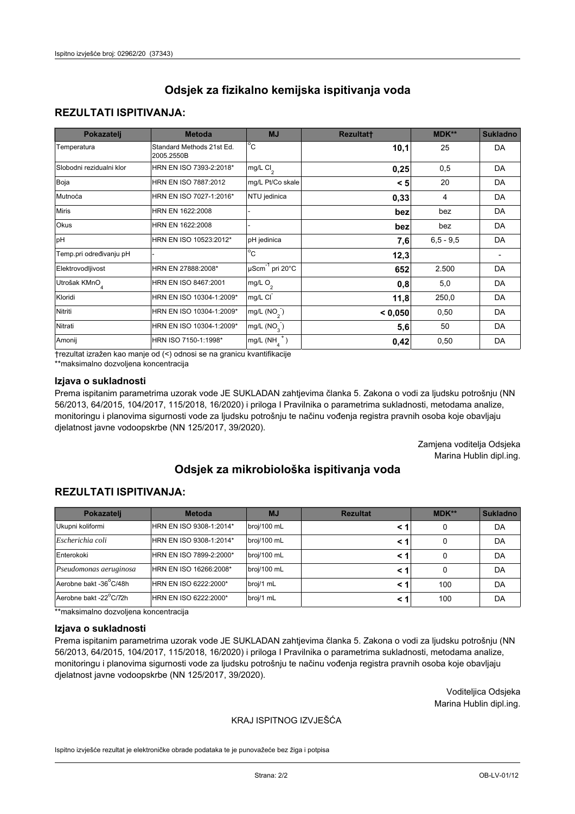# **REZULTATI ISPITIVANJA:**

| Pokazatelj                | <b>Metoda</b>                           | <b>MJ</b>                       | <b>Rezultatt</b> | MDK**       | <b>Sukladno</b> |
|---------------------------|-----------------------------------------|---------------------------------|------------------|-------------|-----------------|
| Temperatura               | Standard Methods 21st Ed.<br>2005.2550B | $^{\circ}$ C                    | 10,1             | 25          | DA              |
| Slobodni rezidualni klor  | HRN EN ISO 7393-2:2018*                 | mg/L $Cl_2$                     | 0,25             | 0,5         | DA              |
| Boja                      | HRN EN ISO 7887:2012                    | mg/L Pt/Co skale                | < 5              | 20          | DA              |
| Mutnoća                   | HRN EN ISO 7027-1:2016*                 | NTU jedinica                    | 0,33             | 4           | DA              |
| <b>Miris</b>              | HRN EN 1622:2008                        |                                 | bez              | bez         | DA.             |
| Okus                      | HRN EN 1622:2008                        |                                 | bez              | bez         | DA              |
| pH                        | HRN EN ISO 10523:2012*                  | pH jedinica                     | 7,6              | $6,5 - 9,5$ | <b>DA</b>       |
| Temp.pri određivanju pH   |                                         | $\overline{c}$                  | 12,3             |             |                 |
| Elektrovodljivost         | HRN EN 27888:2008*                      | µScm <sup>-1</sup> pri 20°C     | 652              | 2.500       | DA              |
| Utrošak KMnO <sub>4</sub> | HRN EN ISO 8467:2001                    | mg/L O <sub>2</sub>             | 0,8              | 5,0         | DA              |
| Kloridi                   | HRN EN ISO 10304-1:2009*                | mg/L CI                         | 11,8             | 250,0       | DA              |
| Nitriti                   | HRN EN ISO 10304-1:2009*                | mg/L $(NO2)$                    | < 0.050          | 0,50        | <b>DA</b>       |
| Nitrati                   | HRN EN ISO 10304-1:2009*                | mg/L $(NO3)$                    | 5,6              | 50          | DA              |
| Amonij                    | HRN ISO 7150-1:1998*                    | mg/L $(NH_{\lambda}^{\dagger})$ | 0,42             | 0,50        | DA              |

trezultat izražen kao manje od (<) odnosi se na granicu kvantifikacije

\*\*maksimalno dozvoljena koncentracija

## Izjava o sukladnosti

Prema ispitanim parametrima uzorak vode JE SUKLADAN zahtjevima članka 5. Zakona o vodi za ljudsku potrošnju (NN 56/2013, 64/2015, 104/2017, 115/2018, 16/2020) i priloga I Pravilnika o parametrima sukladnosti, metodama analize, monitoringu i planovima sigurnosti vode za ljudsku potrošnju te načinu vođenja registra pravnih osoba koje obavljaju djelatnost javne vodoopskrbe (NN 125/2017, 39/2020).

> Zamjena voditelja Odsjeka Marina Hublin dipl.ing.

# Odsiek za mikrobiološka ispitivanja voda

# **REZULTATI ISPITIVANJA:**

| Pokazatelj             | <b>Metoda</b>           | <b>MJ</b>   | <b>Rezultat</b> | $MDK**$ | <b>Sukladno</b> |
|------------------------|-------------------------|-------------|-----------------|---------|-----------------|
| Ukupni koliformi       | HRN EN ISO 9308-1:2014* | broj/100 mL | < 1             | 0       | DA              |
| Escherichia coli       | HRN EN ISO 9308-1:2014* | broj/100 mL | < 1             | 0       | DA              |
| Enterokoki             | HRN EN ISO 7899-2:2000* | broj/100 mL | < 1             |         | DA              |
| Pseudomonas aeruginosa | HRN EN ISO 16266:2008*  | broj/100 mL | < 1             | 0       | DA              |
| Aerobne bakt -36°C/48h | HRN EN ISO 6222:2000*   | broj/1 mL   | < 1             | 100     | DA              |
| Aerobne bakt -22°C/72h | HRN EN ISO 6222:2000*   | broj/1 mL   | < 1             | 100     | DA              |

\*\*maksimalno dozvoljena koncentracija

#### Izjava o sukladnosti

Prema ispitanim parametrima uzorak vode JE SUKLADAN zahtjevima članka 5. Zakona o vodi za ljudsku potrošnju (NN 56/2013, 64/2015, 104/2017, 115/2018, 16/2020) i priloga I Pravilnika o parametrima sukladnosti, metodama analize, monitoringu i planovima sigurnosti vode za ljudsku potrošnju te načinu vođenja registra pravnih osoba koje obavljaju djelatnost javne vodoopskrbe (NN 125/2017, 39/2020).

> Voditeljica Odsjeka Marina Hublin dipl.ing.

## KRAJ ISPITNOG IZVJEŠĆA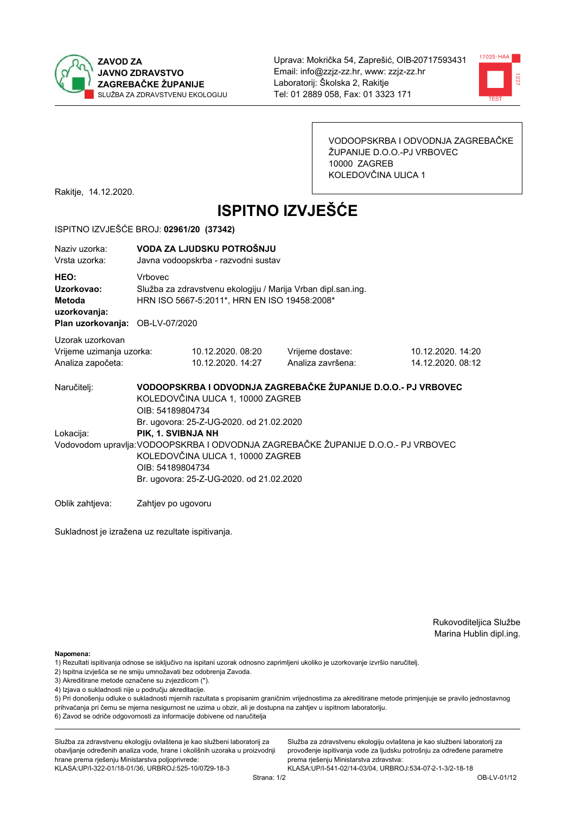



VODOOPSKRBA I ODVODNJA ZAGREBAČKE ŽUPANIJE D.O.O.-PJ VRBOVEC 10000 ZAGREB KOLEDOVČINA ULICA 1

Rakitje, 14.12.2020.

# **ISPITNO IZVJEŠĆE**

#### ISPITNO IZVJEŠĆE BROJ: 02961/20 (37342)

| Naziv uzorka:<br>Vrsta uzorka:                                                  |                    | VODA ZA LJUDSKU POTROŠNJU<br>Javna vodoopskrba - razvodni sustav                                                                                                                                                                                         |                                       |                                        |  |  |  |
|---------------------------------------------------------------------------------|--------------------|----------------------------------------------------------------------------------------------------------------------------------------------------------------------------------------------------------------------------------------------------------|---------------------------------------|----------------------------------------|--|--|--|
| HEO:<br>Uzorkovao:<br>Metoda<br>uzorkovanja:<br>Plan uzorkovanja: OB-LV-07/2020 | <b>Vrhovec</b>     | Služba za zdravstvenu ekologiju / Marija Vrban dipl.san.ing.<br>HRN ISO 5667-5:2011*, HRN EN ISO 19458:2008*                                                                                                                                             |                                       |                                        |  |  |  |
| Uzorak uzorkovan<br>Vrijeme uzimanja uzorka:<br>Analiza započeta:               |                    | 10.12.2020.08:20<br>10.12.2020. 14:27                                                                                                                                                                                                                    | Vrijeme dostave:<br>Analiza završena: | 10.12.2020. 14:20<br>14.12.2020. 08:12 |  |  |  |
| Naručitelj:                                                                     |                    | VODOOPSKRBA I ODVODNJA ZAGREBAČKE ŽUPANIJE D.O.O.- PJ VRBOVEC<br>KOLEDOVČINA ULICA 1, 10000 ZAGREB<br>OIB: 54189804734                                                                                                                                   |                                       |                                        |  |  |  |
| Lokacija:                                                                       |                    | Br. ugovora: 25-Z-UG-2020. od 21.02.2020<br>PIK, 1. SVIBNJA NH<br>Vodovodom upravlja: VODOOPSKRBA I ODVODNJA ZAGREBAČKE ŽUPANIJE D.O.O.- PJ VRBOVEC<br>KOLEDOVČINA ULICA 1, 10000 ZAGREB<br>OIB: 54189804734<br>Br. ugovora: 25-Z-UG-2020. od 21.02.2020 |                                       |                                        |  |  |  |
| Oblik zahtieva:                                                                 | Zahtjev po ugovoru |                                                                                                                                                                                                                                                          |                                       |                                        |  |  |  |

Sukladnost je izražena uz rezultate ispitivanja.

Rukovoditeljica Službe Marina Hublin dipl.ing.

Napomena:

- 2) Ispitna izvješća se ne smiju umnožavati bez odobrenja Zavoda.
- 3) Akreditirane metode označene su zvjezdicom (\*).
- 4) Izjava o sukladnosti nije u području akreditacije.

5) Pri donošenju odluke o sukladnosti mjernih razultata s propisanim graničnim vrijednostima za akreditirane metode primjenjuje se pravilo jednostavnog prihvaćanja pri čemu se mjerna nesigurnost ne uzima u obzir, ali je dostupna na zahtjev u ispitnom laboratoriju.

6) Zavod se odriče odgovornosti za informacije dobivene od naručitelja

Služba za zdravstvenu ekologiju ovlaštena je kao službeni laboratorij za obavljanje određenih analiza vode, hrane i okolišnih uzoraka u proizvodnji hrane prema rješenju Ministarstva poljoprivrede:

KLASA.UP/I-322-01/18-01/36, URBROJ:525-10/0729-18-3

Služba za zdravstvenu ekologiju ovlaštena je kao službeni laboratorij za provođenje ispitivanja vode za ljudsku potrošnju za određene parametre prema riešenju Ministarstva zdravstva:

<sup>1)</sup> Rezultati ispitivanja odnose se isključivo na ispitani uzorak odnosno zaprimljeni ukoliko je uzorkovanje izvršio naručitelj.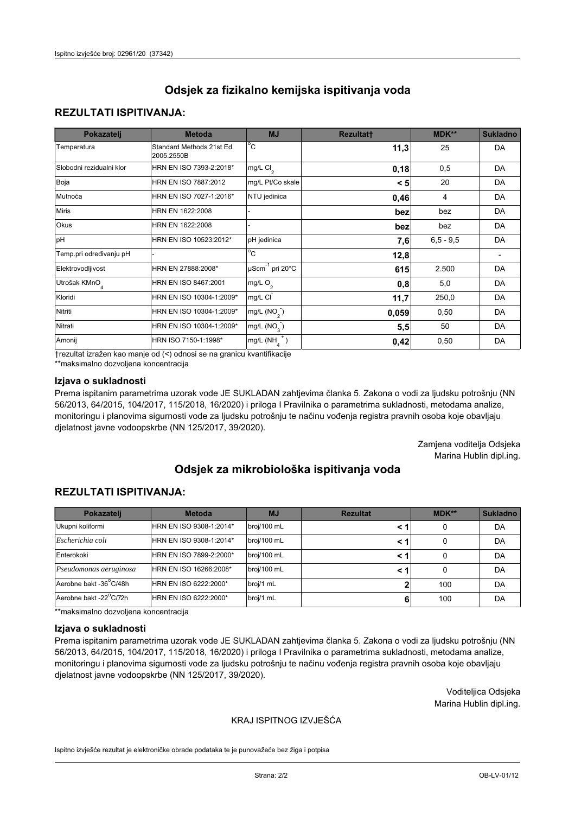# **REZULTATI ISPITIVANJA:**

| Pokazatelj                | <b>Metoda</b>                           | <b>MJ</b>                   | <b>Rezultatt</b> | MDK**       | <b>Sukladno</b> |
|---------------------------|-----------------------------------------|-----------------------------|------------------|-------------|-----------------|
| Temperatura               | Standard Methods 21st Ed.<br>2005.2550B | $^{\circ}$ C                | 11,3             | 25          | <b>DA</b>       |
| Slobodni rezidualni klor  | HRN EN ISO 7393-2:2018*                 | $mg/L$ Cl <sub>2</sub>      | 0,18             | 0,5         | DA              |
| Boja                      | HRN EN ISO 7887:2012                    | mg/L Pt/Co skale            | < 5              | 20          | DA              |
| Mutnoća                   | HRN EN ISO 7027-1:2016*                 | NTU jedinica                | 0,46             | 4           | DA              |
| <b>Miris</b>              | HRN EN 1622:2008                        |                             | bez              | bez         | DA              |
| Okus                      | HRN EN 1622:2008                        |                             | bez              | bez         | DA              |
| pH                        | HRN EN ISO 10523:2012*                  | pH jedinica                 | 7,6              | $6,5 - 9,5$ | <b>DA</b>       |
| Temp.pri određivanju pH   |                                         | $\overline{C}$              | 12,8             |             |                 |
| Elektrovodljivost         | HRN EN 27888:2008*                      | µScm <sup>-1</sup> pri 20°C | 615              | 2.500       | DA              |
| Utrošak KMnO <sub>4</sub> | HRN EN ISO 8467:2001                    | mg/L O <sub>2</sub>         | 0,8              | 5,0         | DA              |
| Kloridi                   | HRN EN ISO 10304-1:2009*                | mg/L CI                     | 11,7             | 250,0       | DA              |
| Nitriti                   | HRN EN ISO 10304-1:2009*                | mg/L $(NO2)$                | 0,059            | 0,50        | DA              |
| Nitrati                   | HRN EN ISO 10304-1:2009*                | mg/L (NO <sub>3</sub> )     | 5,5              | 50          | DA              |
| Amonij                    | HRN ISO 7150-1:1998*                    | $mg/L(NH_A^+)$              | 0,42             | 0,50        | <b>DA</b>       |

trezultat izražen kao manje od (<) odnosi se na granicu kvantifikacije

\*\*maksimalno dozvoljena koncentracija

## Izjava o sukladnosti

Prema ispitanim parametrima uzorak vode JE SUKLADAN zahtjevima članka 5. Zakona o vodi za ljudsku potrošnju (NN 56/2013, 64/2015, 104/2017, 115/2018, 16/2020) i priloga I Pravilnika o parametrima sukladnosti, metodama analize, monitoringu i planovima sigurnosti vode za ljudsku potrošnju te načinu vođenja registra pravnih osoba koje obavljaju djelatnost javne vodoopskrbe (NN 125/2017, 39/2020).

> Zamjena voditelja Odsjeka Marina Hublin dipl.ing.

# Odsiek za mikrobiološka ispitivanja voda

# **REZULTATI ISPITIVANJA:**

| Pokazatelj             | <b>Metoda</b><br><b>MJ</b> |             | <b>Rezultat</b> | <b>MDK**</b> | <b>Sukladno</b> |
|------------------------|----------------------------|-------------|-----------------|--------------|-----------------|
| Ukupni koliformi       | HRN EN ISO 9308-1:2014*    | broj/100 mL |                 | 0            | DA              |
| Escherichia coli       | HRN EN ISO 9308-1:2014*    | broj/100 mL | < 1             | 0            | DA              |
| Enterokoki             | HRN EN ISO 7899-2:2000*    | broj/100 mL | <1              | 0            | DA              |
| Pseudomonas aeruginosa | HRN EN ISO 16266:2008*     | broj/100 mL | <1              | 0            | DA              |
| Aerobne bakt -36°C/48h | HRN EN ISO 6222:2000*      | broj/1 mL   |                 | 100          | DA              |
| Aerobne bakt -22°C/72h | HRN EN ISO 6222:2000*      | broj/1 mL   | 6               | 100          | DA              |

\*\*maksimalno dozvoljena koncentracija

#### Izjava o sukladnosti

Prema ispitanim parametrima uzorak vode JE SUKLADAN zahtjevima članka 5. Zakona o vodi za ljudsku potrošnju (NN 56/2013, 64/2015, 104/2017, 115/2018, 16/2020) i priloga I Pravilnika o parametrima sukladnosti, metodama analize, monitoringu i planovima sigurnosti vode za ljudsku potrošnju te načinu vođenja registra pravnih osoba koje obavljaju djelatnost javne vodoopskrbe (NN 125/2017, 39/2020).

> Voditeljica Odsjeka Marina Hublin dipl.ing.

## KRAJ ISPITNOG IZVJEŠĆA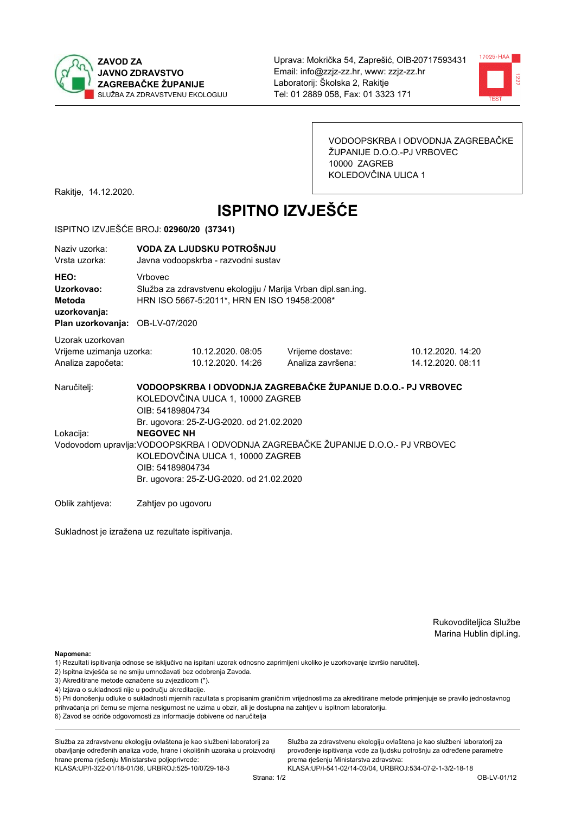



VODOOPSKRBA I ODVODNJA ZAGREBAČKE ŽUPANIJE D.O.O.-PJ VRBOVEC 10000 ZAGREB KOLEDOVČINA ULICA 1

Rakitje, 14.12.2020.

# **ISPITNO IZVJEŠĆE**

#### ISPITNO IZVJEŠĆE BROJ: 02960/20 (37341)

| Naziv uzorka:<br>Vrsta uzorka:                                                  | VODA ZA LJUDSKU POTROŠNJU<br>Javna vodoopskrba - razvodni sustav                                                                                                                                            |                                       |                                       |                                        |  |  |  |
|---------------------------------------------------------------------------------|-------------------------------------------------------------------------------------------------------------------------------------------------------------------------------------------------------------|---------------------------------------|---------------------------------------|----------------------------------------|--|--|--|
| HEO:<br>Uzorkovao:<br>Metoda<br>uzorkovanja:<br>Plan uzorkovanja: OB-LV-07/2020 | <b>Vrhovec</b><br>Služba za zdravstvenu ekologiju / Marija Vrban dipl.san.ing.<br>HRN ISO 5667-5:2011*, HRN EN ISO 19458:2008*                                                                              |                                       |                                       |                                        |  |  |  |
| Uzorak uzorkovan<br>Vrijeme uzimanja uzorka:<br>Analiza započeta:               |                                                                                                                                                                                                             | 10.12.2020.08:05<br>10.12.2020. 14:26 | Vrijeme dostave:<br>Analiza završena: | 10.12.2020. 14:20<br>14.12.2020. 08:11 |  |  |  |
| Naručitelj:                                                                     | VODOOPSKRBA I ODVODNJA ZAGREBAČKE ŽUPANIJE D.O.O.- PJ VRBOVEC<br>KOLEDOVČINA ULICA 1, 10000 ZAGREB<br>OIB: 54189804734<br>Br. ugovora: 25-Z-UG-2020. od 21.02.2020                                          |                                       |                                       |                                        |  |  |  |
| Lokacija:                                                                       | <b>NEGOVEC NH</b><br>Vodovodom upravlja: VODOOPSKRBA I ODVODNJA ZAGREBAČKE ŽUPANIJE D.O.O.- PJ VRBOVEC<br>KOLEDOVČINA ULICA 1, 10000 ZAGREB<br>OIB: 54189804734<br>Br. ugovora: 25-Z-UG-2020. od 21.02.2020 |                                       |                                       |                                        |  |  |  |
| Oblik zahtieva:                                                                 | Zahtjev po ugovoru                                                                                                                                                                                          |                                       |                                       |                                        |  |  |  |

Sukladnost je izražena uz rezultate ispitivanja.

Rukovoditeljica Službe Marina Hublin dipl.ing.

Napomena:

- 2) Ispitna izvješća se ne smiju umnožavati bez odobrenja Zavoda.
- 3) Akreditirane metode označene su zvjezdicom (\*).
- 4) Izjava o sukladnosti nije u području akreditacije.

5) Pri donošenju odluke o sukladnosti mjernih razultata s propisanim graničnim vrijednostima za akreditirane metode primjenjuje se pravilo jednostavnog prihvaćanja pri čemu se mjerna nesigurnost ne uzima u obzir, ali je dostupna na zahtjev u ispitnom laboratoriju.

6) Zavod se odriče odgovornosti za informacije dobivene od naručitelja

Služba za zdravstvenu ekologiju ovlaštena je kao službeni laboratorij za obavljanje određenih analiza vode, hrane i okolišnih uzoraka u proizvodnji hrane prema rješenju Ministarstva poljoprivrede:

KLASA: UP/I-322-01/18-01/36, URBROJ: 525-10/0729-18-3

Služba za zdravstvenu ekologiju ovlaštena je kao službeni laboratorij za provođenje ispitivanja vode za ljudsku potrošnju za određene parametre prema riešenju Ministarstva zdravstva:

<sup>1)</sup> Rezultati ispitivanja odnose se isključivo na ispitani uzorak odnosno zaprimljeni ukoliko je uzorkovanje izvršio naručiteli.